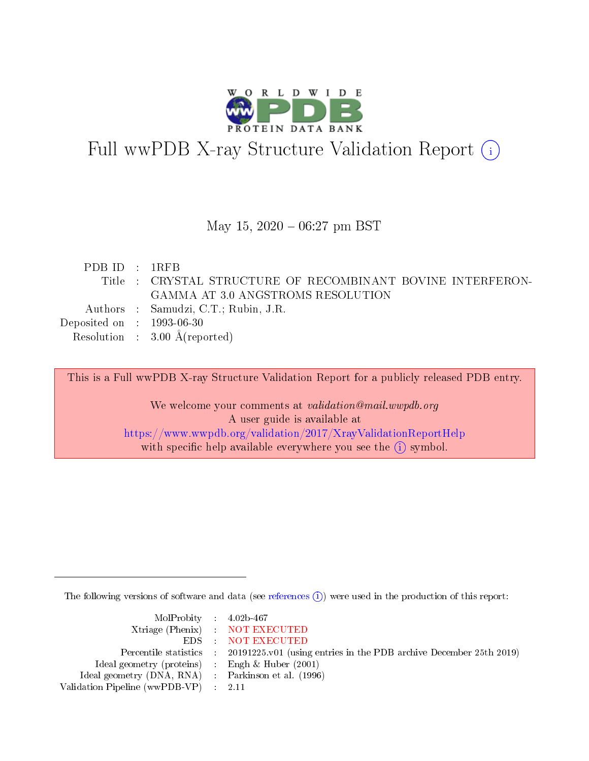

# Full wwPDB X-ray Structure Validation Report (i)

#### May 15,  $2020 - 06:27$  pm BST

| PDBID : 1RFB                             |                                                             |
|------------------------------------------|-------------------------------------------------------------|
|                                          | Title : CRYSTAL STRUCTURE OF RECOMBINANT BOVINE INTERFERON- |
|                                          | GAMMA AT 3.0 ANGSTROMS RESOLUTION                           |
| Authors : Samudzi, C.T.; Rubin, J.R.     |                                                             |
| Deposited on $\,$ : 1993-06-30           |                                                             |
| Resolution : $3.00 \text{ Å}$ (reported) |                                                             |

This is a Full wwPDB X-ray Structure Validation Report for a publicly released PDB entry.

We welcome your comments at validation@mail.wwpdb.org A user guide is available at <https://www.wwpdb.org/validation/2017/XrayValidationReportHelp> with specific help available everywhere you see the  $(i)$  symbol.

The following versions of software and data (see [references](https://www.wwpdb.org/validation/2017/XrayValidationReportHelp#references)  $\overline{(1)}$ ) were used in the production of this report:

| $MolProbability$ 4.02b-467                          |                                                                    |
|-----------------------------------------------------|--------------------------------------------------------------------|
|                                                     | Xtriage (Phenix) NOT EXECUTED                                      |
|                                                     | EDS : NOT EXECUTED                                                 |
| Percentile statistics :                             | 20191225.v01 (using entries in the PDB archive December 25th 2019) |
| Ideal geometry (proteins) :                         | Engh $\&$ Huber (2001)                                             |
| Ideal geometry (DNA, RNA) : Parkinson et al. (1996) |                                                                    |
| Validation Pipeline (wwPDB-VP) : 2.11               |                                                                    |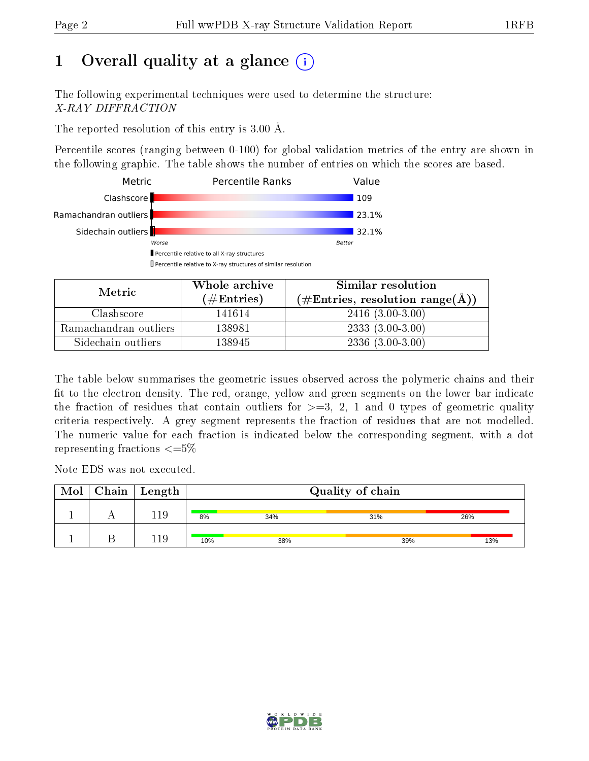# 1 [O](https://www.wwpdb.org/validation/2017/XrayValidationReportHelp#overall_quality)verall quality at a glance  $(i)$

The following experimental techniques were used to determine the structure: X-RAY DIFFRACTION

The reported resolution of this entry is 3.00 Å.

Percentile scores (ranging between 0-100) for global validation metrics of the entry are shown in the following graphic. The table shows the number of entries on which the scores are based.



| Metric                | Whole archive        | Similar resolution<br>$(\#\text{Entries}, \text{resolution range}(\textup{\AA})\)$ |  |  |
|-----------------------|----------------------|------------------------------------------------------------------------------------|--|--|
|                       | $(\#\text{Entries})$ |                                                                                    |  |  |
| Clashscore            | 141614               | $2416(3.00-3.00)$                                                                  |  |  |
| Ramachandran outliers | 138981               | $2333(3.00-3.00)$                                                                  |  |  |
| Sidechain outliers    | 138945               | $2336(3.00-3.00)$                                                                  |  |  |

The table below summarises the geometric issues observed across the polymeric chains and their fit to the electron density. The red, orange, yellow and green segments on the lower bar indicate the fraction of residues that contain outliers for  $\geq=3$ , 2, 1 and 0 types of geometric quality criteria respectively. A grey segment represents the fraction of residues that are not modelled. The numeric value for each fraction is indicated below the corresponding segment, with a dot representing fractions  $\epsilon = 5\%$ 

Note EDS was not executed.

| Mol | Chain | Length          | Quality of chain        |     |     |     |  |  |
|-----|-------|-----------------|-------------------------|-----|-----|-----|--|--|
|     |       | .19             | 8%<br>26%<br>34%<br>31% |     |     |     |  |  |
|     |       | $\overline{19}$ | 10%                     | 38% | 39% | 13% |  |  |

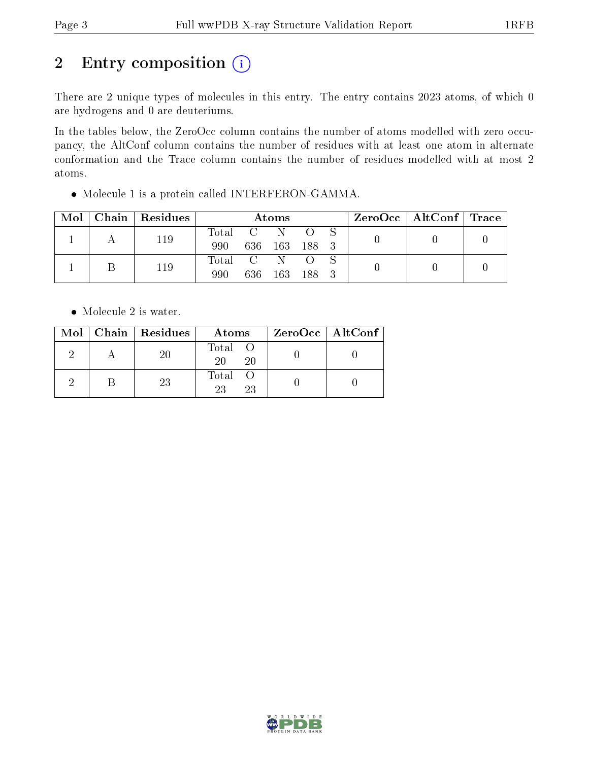# 2 Entry composition (i)

There are 2 unique types of molecules in this entry. The entry contains 2023 atoms, of which 0 are hydrogens and 0 are deuteriums.

In the tables below, the ZeroOcc column contains the number of atoms modelled with zero occupancy, the AltConf column contains the number of residues with at least one atom in alternate conformation and the Trace column contains the number of residues modelled with at most 2 atoms.

| Mol |     | Chain   Residues | Atoms     |           |           |  |  | ZeroOcc   AltConf   Trace |  |
|-----|-----|------------------|-----------|-----------|-----------|--|--|---------------------------|--|
|     |     | 119              | Total C N |           |           |  |  |                           |  |
|     |     | 990              | 636       | 163       | - 188 - 3 |  |  |                           |  |
|     | 119 | Total C N        |           |           |           |  |  |                           |  |
|     |     | 990              | 636       | 163 188 3 |           |  |  |                           |  |

Molecule 1 is a protein called INTERFERON-GAMMA.

• Molecule 2 is water.

|  | $Mol$   Chain   Residues | Atoms               | $ZeroOcc \   \ AltConf \  $ |
|--|--------------------------|---------------------|-----------------------------|
|  | 20                       | Total O<br>20<br>20 |                             |
|  | 23                       | Total O<br>23<br>23 |                             |

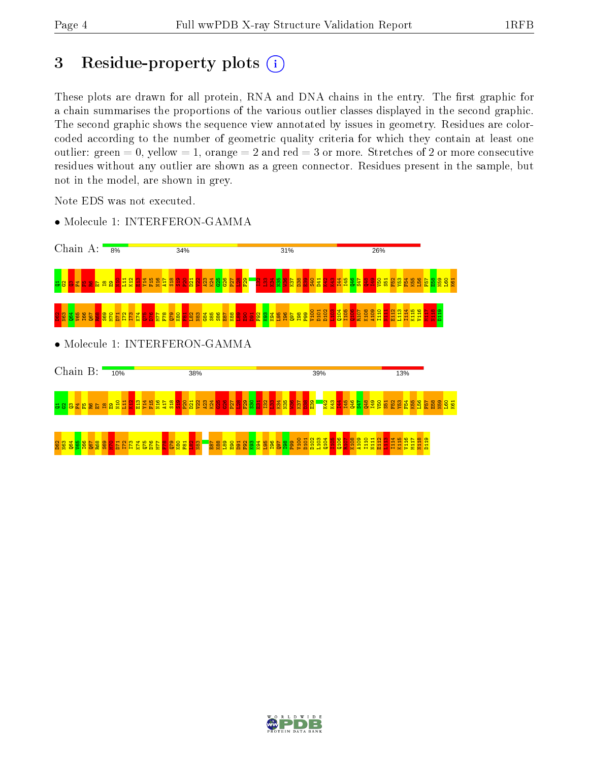## 3 Residue-property plots  $(i)$

These plots are drawn for all protein, RNA and DNA chains in the entry. The first graphic for a chain summarises the proportions of the various outlier classes displayed in the second graphic. The second graphic shows the sequence view annotated by issues in geometry. Residues are colorcoded according to the number of geometric quality criteria for which they contain at least one outlier: green  $= 0$ , yellow  $= 1$ , orange  $= 2$  and red  $= 3$  or more. Stretches of 2 or more consecutive residues without any outlier are shown as a green connector. Residues present in the sample, but not in the model, are shown in grey.

Note EDS was not executed.



• Molecule 1: INTERFERON-GAMMA

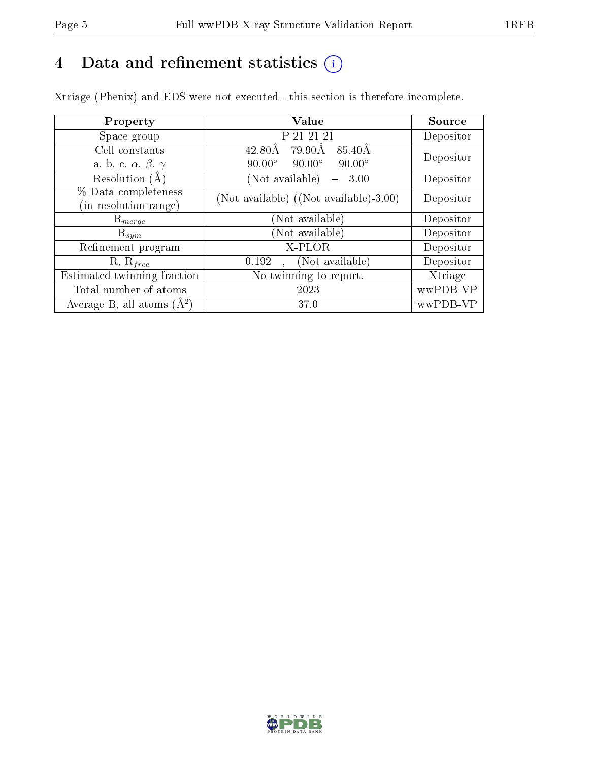# 4 Data and refinement statistics  $(i)$

Xtriage (Phenix) and EDS were not executed - this section is therefore incomplete.

| Property                               | <b>Value</b>                                        | Source    |  |
|----------------------------------------|-----------------------------------------------------|-----------|--|
| Space group                            | P 21 21 21                                          | Depositor |  |
| Cell constants                         | 79.90Å<br>85.40Å<br>$42.80\text{\AA}$               | Depositor |  |
| a, b, c, $\alpha$ , $\beta$ , $\gamma$ | $90.00^\circ$<br>$90.00^\circ$<br>$90.00^\circ$     |           |  |
| Resolution (A)                         | (Not available)<br>3.00<br>$\overline{\phantom{0}}$ | Depositor |  |
| % Data completeness                    | (Not available) ((Not available)-3.00)              | Depositor |  |
| (in resolution range)                  |                                                     |           |  |
| $\mathrm{R}_{merge}$                   | (Not available)                                     | Depositor |  |
| $\mathrm{R}_{sym}$                     | (Not available)                                     | Depositor |  |
| Refinement program                     | X-PLOR                                              | Depositor |  |
| $R, R_{free}$                          | (Not available)<br>0.192                            | Depositor |  |
| Estimated twinning fraction            | No twinning to report.                              | Xtriage   |  |
| Total number of atoms                  | 2023                                                | wwPDB-VP  |  |
| Average B, all atoms $(A^2)$           | 37.0                                                | wwPDB-VP  |  |

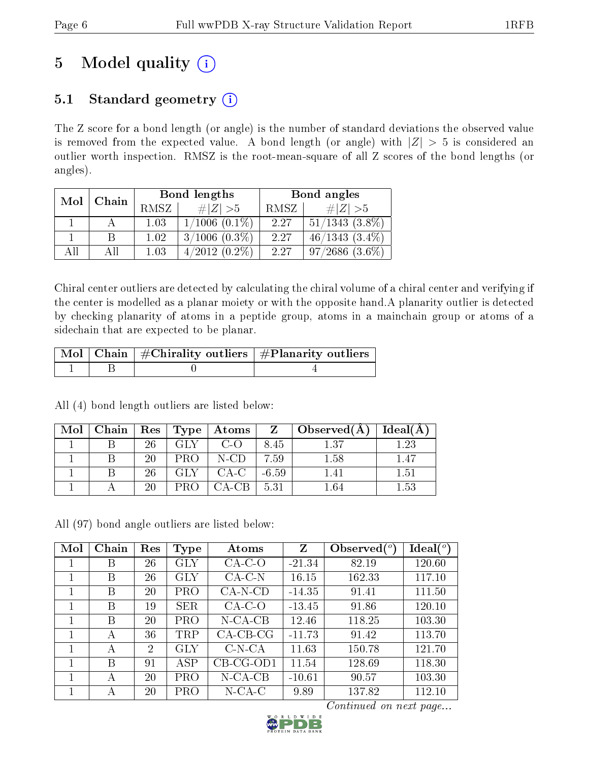# 5 Model quality  $(i)$

## 5.1 Standard geometry  $(i)$

The Z score for a bond length (or angle) is the number of standard deviations the observed value is removed from the expected value. A bond length (or angle) with  $|Z| > 5$  is considered an outlier worth inspection. RMSZ is the root-mean-square of all Z scores of the bond lengths (or angles).

| Mol | Chain |      | Bond lengths       | Bond angles |                     |  |
|-----|-------|------|--------------------|-------------|---------------------|--|
|     |       | RMSZ | # $ Z  > 5$        | RMSZ        | # $ Z  > 5$         |  |
|     |       | 1.03 | $1/1006$ $(0.1\%)$ | 2.27        | $51/1343$ $(3.8\%)$ |  |
|     |       | 1.02 | $3/1006$ $(0.3\%)$ | 2.27        | $46/1343(3.4\%)$    |  |
| AIL |       | 1.03 | $4/2012(0.2\%)$    | 2.27        | $97/2686$ $(3.6\%)$ |  |

Chiral center outliers are detected by calculating the chiral volume of a chiral center and verifying if the center is modelled as a planar moiety or with the opposite hand.A planarity outlier is detected by checking planarity of atoms in a peptide group, atoms in a mainchain group or atoms of a sidechain that are expected to be planar.

|  | $\sqrt{\text{Mol} \mid \text{Chain}}$   #Chirality outliers   #Planarity outliers |
|--|-----------------------------------------------------------------------------------|
|  |                                                                                   |

All (4) bond length outliers are listed below:

| Mol | Chain | $\operatorname{Res}$ | $\mid$ Type $\mid$ | $+$ Atoms $^+$ | $\mathbf{Z}$ | $\Box$ Observed $(A)$ | $Ideal(\AA)$ |
|-----|-------|----------------------|--------------------|----------------|--------------|-----------------------|--------------|
|     |       | 26                   | GLY                | $C$ -O         | 8.45         | 1.37                  | 1.23         |
|     |       | 20                   | PR()               | N-CD           | 7.59         | 1.58                  | 1.47         |
|     |       | 26                   | GLY                | $CA-C$         | $-6.59$      |                       | $1.51\,$     |
|     |       | 20                   |                    | 7A-CB          | 5.31         | 1 64                  | $1.53\,$     |

All (97) bond angle outliers are listed below:

| Mol | Chain | Res            | Type       | Atoms       | Z        | Observed $\binom{o}{c}$ | $\text{Ideal}({}^o)$ |
|-----|-------|----------------|------------|-------------|----------|-------------------------|----------------------|
|     | Β     | 26             | GLY        | $CA-C-O$    | $-21.34$ | 82.19                   | 120.60               |
| 1   | B     | 26             | GLY        | $CA-C-N$    | 16.15    | 162.33                  | 117.10               |
|     | В     | 20             | <b>PRO</b> | $CA-N-CD$   | $-14.35$ | 91.41                   | 111.50               |
|     | В     | 19             | <b>SER</b> | $CA-C-O$    | $-13.45$ | 91.86                   | 120.10               |
|     | B     | 20             | PRO        | $N$ -CA-CB  | 12.46    | 118.25                  | 103.30               |
|     | А     | 36             | TRP        | $CA-CB-CG$  | $-11.73$ | 91.42                   | 113.70               |
|     | А     | $\overline{2}$ | <b>GLY</b> | $C-N-CA$    | 11.63    | 150.78                  | 121.70               |
|     | В     | 91             | ASP        | $CB-CG-OD1$ | 11.54    | 128.69                  | 118.30               |
| 1   | А     | 20             | <b>PRO</b> | $N$ -CA-CB  | $-10.61$ | 90.57                   | 103.30               |
|     | А     | 20             | PRO        | $N$ -CA-C   | 9.89     | 137.82                  | 112.10               |

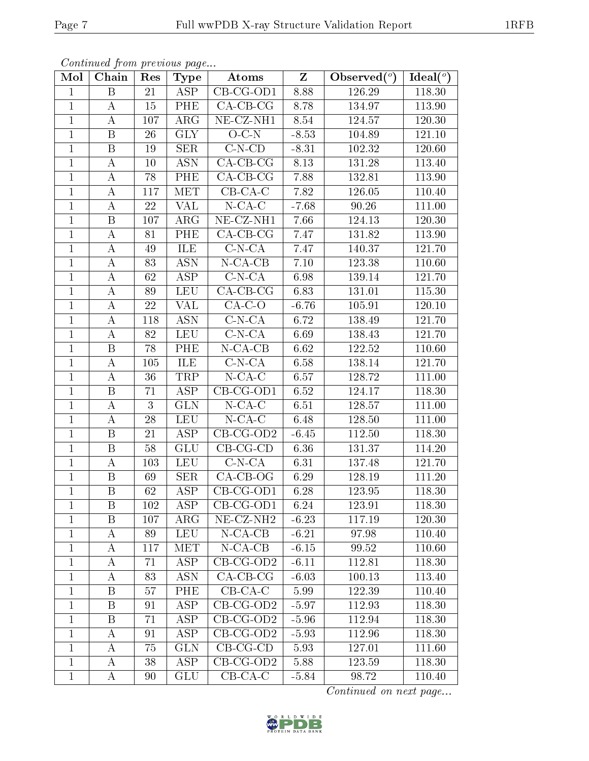| Mol            | Chain                   | Res    | <b>Type</b>             | Atoms                         | Z       | Observed $(°)$ | Ideal( $\overline{^{\circ}}$ ) |
|----------------|-------------------------|--------|-------------------------|-------------------------------|---------|----------------|--------------------------------|
| $\mathbf{1}$   | $\boldsymbol{B}$        | 21     | ASP                     | $CB-CG-OD1$                   | 8.88    | 126.29         | 118.30                         |
| $\mathbf{1}$   | $\bf{A}$                | 15     | PHE                     | $CA-CB-CG$                    | 8.78    | 134.97         | 113.90                         |
| $\mathbf{1}$   | $\bf{A}$                | 107    | $\rm{ARG}$              | $NE$ -CZ-NH1                  | 8.54    | 124.57         | 120.30                         |
| $\mathbf{1}$   | B                       | 26     | <b>GLY</b>              | $O-C-N$                       | $-8.53$ | 104.89         | 121.10                         |
| $\mathbf{1}$   | $\, {\bf B}$            | 19     | <b>SER</b>              | $C-N-CD$                      | $-8.31$ | 102.32         | 120.60                         |
| $\mathbf{1}$   | $\bf{A}$                | 10     | <b>ASN</b>              | $CA-CB-CG$                    | 8.13    | 131.28         | 113.40                         |
| $\mathbf{1}$   | $\bf{A}$                | 78     | PHE                     | $CA$ -CB-CG                   | 7.88    | 132.81         | 113.90                         |
| $\mathbf{1}$   | $\bf{A}$                | 117    | <b>MET</b>              | $CB-CA-C$                     | 7.82    | 126.05         | 110.40                         |
| $\mathbf{1}$   | $\bf{A}$                | $22\,$ | VAL                     | $N$ -CA-C                     | $-7.68$ | 90.26          | 111.00                         |
| $\mathbf{1}$   | $\, {\bf B}$            | 107    | $\rm{ARG}$              | NE-CZ-NH1                     | 7.66    | 124.13         | 120.30                         |
| $\mathbf{1}$   | $\bf{A}$                | 81     | PHE                     | $CA-CB-CG$                    | 7.47    | 131.82         | 113.90                         |
| $\mathbf{1}$   | $\bf{A}$                | 49     | ILE                     | $C-N-CA$                      | 7.47    | 140.37         | 121.70                         |
| $\mathbf{1}$   | $\bf{A}$                | 83     | <b>ASN</b>              | $N$ -CA-CB                    | 7.10    | 123.38         | 110.60                         |
| $\mathbf{1}$   | $\bf{A}$                | 62     | <b>ASP</b>              | $\overline{C}$ -N-CA          | 6.98    | 139.14         | 121.70                         |
| $\mathbf{1}$   | $\bf{A}$                | 89     | <b>LEU</b>              | $CA$ -CB-CG                   | 6.83    | 131.01         | 115.30                         |
| $\mathbf{1}$   | $\bf{A}$                | 22     | <b>VAL</b>              | $CA-C-O$                      | $-6.76$ | 105.91         | 120.10                         |
| $\mathbf{1}$   | $\bf{A}$                | 118    | $\overline{ASN}$        | $C-N-CA$                      | 6.72    | 138.49         | 121.70                         |
| $\mathbf{1}$   | $\bf{A}$                | 82     | <b>LEU</b>              | $C-N-CA$                      | 6.69    | 138.43         | 121.70                         |
| $\mathbf{1}$   | B                       | 78     | PHE                     | $N$ -CA-CB                    | 6.62    | 122.52         | 110.60                         |
| $\mathbf{1}$   | $\bf{A}$                | 105    | ILE                     | $C-N-CA$                      | 6.58    | 138.14         | 121.70                         |
| $\mathbf{1}$   | $\bf{A}$                | 36     | TRP                     | $N$ -CA-C                     | 6.57    | 128.72         | 111.00                         |
| $\overline{1}$ | $\overline{\mathrm{B}}$ | 71     | $\overline{\rm ASP}$    | $CB-CG-OD1$                   | 6.52    | 124.17         | 118.30                         |
| $\mathbf{1}$   | $\bf{A}$                | 3      | <b>GLN</b>              | $N$ -CA-C                     | 6.51    | 128.57         | 111.00                         |
| $\mathbf{1}$   | $\bf{A}$                | 28     | <b>LEU</b>              | $N$ -CA-C                     | 6.48    | 128.50         | 111.00                         |
| $\mathbf{1}$   | B                       | 21     | ASP                     | $\overline{\text{CB-CG-OD2}}$ | $-6.45$ | 112.50         | 118.30                         |
| $\mathbf{1}$   | $\boldsymbol{B}$        | $58\,$ | <b>GLU</b>              | $CB-CG-CD$                    | 6.36    | 131.37         | 114.20                         |
| $\mathbf{1}$   | $\bf{A}$                | 103    | <b>LEU</b>              | $C-N-CA$                      | 6.31    | 137.48         | 121.70                         |
| $\mathbf{1}$   | $\, {\bf B}$            | 69     | <b>SER</b>              | $CA-CB-OG$                    | 6.29    | 128.19         | 111.20                         |
| $\mathbf{1}$   | $\, {\bf B}$            | 62     | $\overline{\rm ASP}$    | $CB-CG-OD1$                   | 6.28    | 123.95         | 118.30                         |
| 1              | B                       | 102    | ASP                     | $CB-CG-OD1$                   | 6.24    | 123.91         | 118.30                         |
| $\mathbf{1}$   | B                       | 107    | $\rm{ARG}$              | NE-CZ-NH <sub>2</sub>         | $-6.23$ | 117.19         | 120.30                         |
| $\mathbf{1}$   | A                       | 89     | <b>LEU</b>              | $N-CA-CB$                     | $-6.21$ | 97.98          | 110.40                         |
| $\mathbf{1}$   | A                       | 117    | <b>MET</b>              | $N$ -CA-CB                    | $-6.15$ | 99.52          | 110.60                         |
| $\mathbf{1}$   | A                       | 71     | <b>ASP</b>              | $CB$ -CG-OD2                  | $-6.11$ | 112.81         | 118.30                         |
| $\mathbf{1}$   | $\bf{A}$                | 83     | <b>ASN</b>              | $CA-CB-CG$                    | $-6.03$ | 100.13         | 113.40                         |
| $\mathbf{1}$   | B                       | 57     | PHE                     | $CB-CA-C$                     | 5.99    | 122.39         | 110.40                         |
| $\mathbf{1}$   | B                       | 91     | ASP                     | $CB-CG-OD2$                   | $-5.97$ | 112.93         | 118.30                         |
| $\mathbf{1}$   | B                       | 71     | ASP                     | $CB-CG-OD2$                   | $-5.96$ | 112.94         | 118.30                         |
| $\mathbf{1}$   | A                       | 91     | $\overline{\text{ASP}}$ | $CB-CG-OD2$                   | $-5.93$ | 112.96         | 118.30                         |
| $\mathbf{1}$   | A                       | 75     | <b>GLN</b>              | $CB-CG-CD$                    | 5.93    | 127.01         | 111.60                         |
| $\mathbf{1}$   | A                       | 38     | ASP                     | $CB-CG-OD2$                   | 5.88    | 123.59         | 118.30                         |
| $\mathbf{1}$   | A                       | 90     | GLU                     | $CB-CA-C$                     | $-5.84$ | 98.72          | 110.40                         |

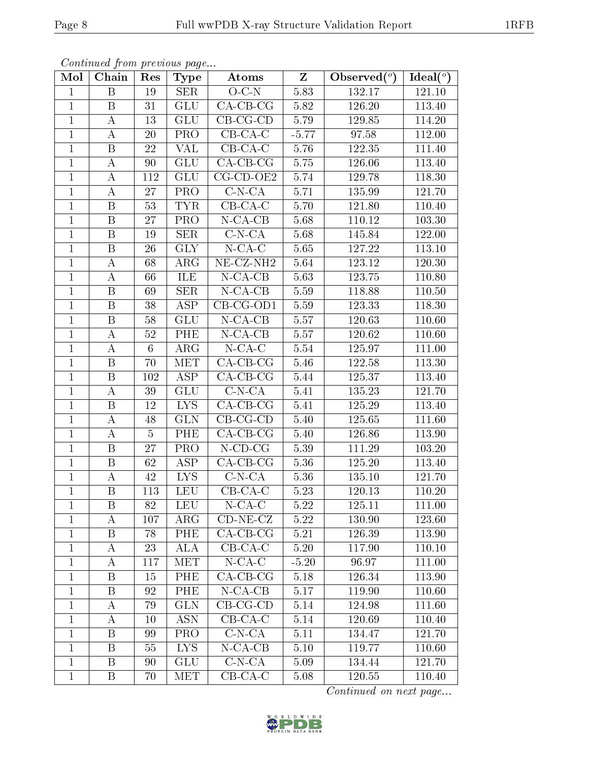| Mol            | Chain                   | Res             | <b>Type</b> | Atoms                 | $Z_{\parallel}$ | Observed $(°)$ | $\text{Ideal}({}^o)$ |
|----------------|-------------------------|-----------------|-------------|-----------------------|-----------------|----------------|----------------------|
| $\mathbf{1}$   | $\boldsymbol{B}$        | 19              | <b>SER</b>  | $O-C-N$               | 5.83            | 132.17         | 121.10               |
| $\mathbf{1}$   | B                       | 31              | <b>GLU</b>  | $CA$ -CB-CG           | 5.82            | 126.20         | 113.40               |
| $\mathbf{1}$   | А                       | 13              | <b>GLU</b>  | $CB-CG-CD$            | 5.79            | 129.85         | 114.20               |
| $\mathbf{1}$   | $\boldsymbol{A}$        | 20              | PRO         | $CB-CA-C$             | $-5.77$         | 97.58          | 112.00               |
| $\mathbf{1}$   | $\, {\bf B}$            | 22              | <b>VAL</b>  | $CB-CA-C$             | 5.76            | 122.35         | 111.40               |
| $\mathbf{1}$   | A                       | 90              | <b>GLU</b>  | $CA-CB-CG$            | $5.75\,$        | 126.06         | 113.40               |
| $\mathbf{1}$   | А                       | 112             | <b>GLU</b>  | $CG$ - $CD$ - $OE2$   | 5.74            | 129.78         | 118.30               |
| $\mathbf{1}$   | $\boldsymbol{A}$        | 27              | PRO         | $C-N-CA$              | 5.71            | 135.99         | 121.70               |
| $\mathbf{1}$   | B                       | 53              | <b>TYR</b>  | $CB-CA-C$             | 5.70            | 121.80         | 110.40               |
| $\mathbf{1}$   | $\, {\bf B}$            | 27              | <b>PRO</b>  | $N$ -CA-CB            | 5.68            | 110.12         | 103.30               |
| $\mathbf{1}$   | B                       | 19              | <b>SER</b>  | $C-N-CA$              | 5.68            | 145.84         | 122.00               |
| $\overline{1}$ | $\overline{\mathrm{B}}$ | 26              | <b>GLY</b>  | $N$ -CA-C             | 5.65            | 127.22         | 113.10               |
| $\mathbf{1}$   | $\boldsymbol{A}$        | 68              | $\rm{ARG}$  | NE-CZ-NH <sub>2</sub> | 5.64            | 123.12         | 120.30               |
| $\mathbf{1}$   | $\boldsymbol{A}$        | 66              | ILE         | $N$ -CA-CB            | 5.63            | 123.75         | 110.80               |
| $\mathbf{1}$   | $\, {\bf B}$            | 69              | <b>SER</b>  | $N$ -CA-CB            | 5.59            | 118.88         | 110.50               |
| $\mathbf{1}$   | $\boldsymbol{B}$        | 38              | <b>ASP</b>  | $CB-CG-OD1$           | 5.59            | 123.33         | 118.30               |
| $\mathbf{1}$   | $\, {\bf B}$            | 58              | <b>GLU</b>  | $N$ -CA-CB            | 5.57            | 120.63         | 110.60               |
| $\mathbf{1}$   | $\boldsymbol{A}$        | 52              | PHE         | $N$ -CA-CB            | 5.57            | 120.62         | 110.60               |
| $\mathbf{1}$   | $\boldsymbol{A}$        | $6\phantom{.}6$ | $\rm{ARG}$  | $N$ -CA-C             | 5.54            | 125.97         | 111.00               |
| $\mathbf{1}$   | $\overline{B}$          | 70              | <b>MET</b>  | $CA-CB-CG$            | 5.46            | 122.58         | 113.30               |
| $\mathbf{1}$   | B                       | 102             | ASP         | $CA$ -CB-CG           | 5.44            | 125.37         | 113.40               |
| $\mathbf{1}$   | $\bf{A}$                | 39              | <b>GLU</b>  | $C-N-CA$              | 5.41            | 135.23         | <b>121.70</b>        |
| $\mathbf{1}$   | B                       | 12              | <b>LYS</b>  | $CA-CB-CG$            | 5.41            | 125.29         | 113.40               |
| $\mathbf{1}$   | А                       | 48              | <b>GLN</b>  | $CB-CG-CD$            | 5.40            | 125.65         | 111.60               |
| $\mathbf{1}$   | А                       | $\overline{5}$  | PHE         | $CA$ -CB-CG           | 5.40            | 126.86         | 113.90               |
| $\mathbf{1}$   | $\, {\bf B}$            | 27              | PRO         | $N$ -CD-CG            | 5.39            | 111.29         | 103.20               |
| $\mathbf{1}$   | $\, {\bf B}$            | 62              | <b>ASP</b>  | $CA-CB-CG$            | 5.36            | 125.20         | 113.40               |
| $\mathbf{1}$   | $\boldsymbol{A}$        | 42              | <b>LYS</b>  | $C-N-CA$              | 5.36            | 135.10         | 121.70               |
| $\mathbf{1}$   | $\, {\bf B}$            | 113             | <b>LEU</b>  | $CB-CA-C$             | 5.23            | 120.13         | 110.20               |
| $\perp$        | Β                       | 82              | LEU         | $N$ -CA-C             | 5.22            | 125.11         | 111.00               |
| $\mathbf{1}$   | А                       | 107             | $\rm{ARG}$  | $CD-NE- CZ$           | 5.22            | 130.90         | 123.60               |
| $\mathbf{1}$   | B                       | 78              | PHE         | $CA-CB-CG$            | 5.21            | 126.39         | 113.90               |
| $\mathbf{1}$   | А                       | 23              | ALA         | $CB-CA-C$             | 5.20            | 117.90         | 110.10               |
| $\mathbf{1}$   | $\boldsymbol{A}$        | 117             | <b>MET</b>  | $N$ -CA-C             | $-5.20$         | 96.97          | 111.00               |
| $\mathbf{1}$   | B                       | 15              | PHE         | $CA$ -CB-CG           | 5.18            | 126.34         | 113.90               |
| $\mathbf 1$    | B                       | 92              | PHE         | $N-CA-CB$             | 5.17            | 119.90         | 110.60               |
| $\mathbf{1}$   | A                       | 79              | <b>GLN</b>  | $CB-CG-CD$            | $5.14\,$        | 124.98         | 111.60               |
| $\mathbf 1$    | A                       | 10              | <b>ASN</b>  | $CB-CA-C$             | 5.14            | 120.69         | 110.40               |
| $\mathbf{1}$   | $\boldsymbol{B}$        | 99              | PRO         | $C-N-CA$              | 5.11            | 134.47         | 121.70               |
| $\mathbf{1}$   | Β                       | 55              | <b>LYS</b>  | $N-CA-CB$             | 5.10            | 119.77         | 110.60               |
| $\mathbf{1}$   | $\mathbf{B}$            | 90              | <b>GLU</b>  | $C-N-CA$              | 5.09            | 134.44         | 121.70               |
| $\mathbf{1}$   | Β                       | 70              | MET         | $CB-CA-C$             | 5.08            | 120.55         | 110.40               |

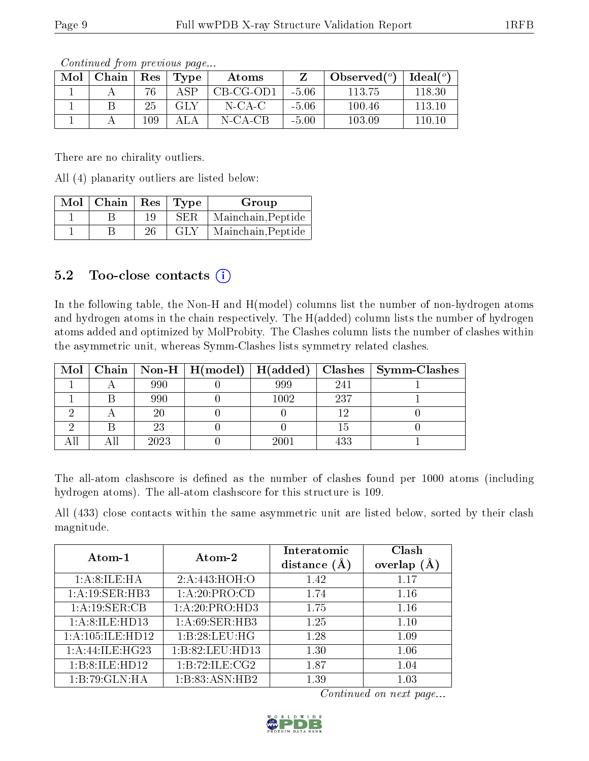| Mol | Chain | $\operatorname{Res}$ | Type | Atoms       |         | Observed $(°)$ | Ideal $(°)$ |
|-----|-------|----------------------|------|-------------|---------|----------------|-------------|
|     |       | 76                   | A SP | $CB-CG-OD1$ | $-5.06$ | 113.75         | 118.30      |
|     |       | 25                   | GLY  | N-CA-C      | $-5.06$ | 100.46         | 113.10      |
|     |       | 109                  |      | N-CA-CB     | $-5.00$ | 103.09         | 110.10      |

There are no chirality outliers.

All (4) planarity outliers are listed below:

| $Mol$   Chain | $\operatorname{Res}% \left( \mathcal{N}\right) \equiv\operatorname{Res}(\mathcal{N}_{0},\mathcal{N}_{0})$ | Type | Group              |
|---------------|-----------------------------------------------------------------------------------------------------------|------|--------------------|
|               | 19                                                                                                        | SER  | Mainchain, Peptide |
|               | 26                                                                                                        | GLY  | Mainchain, Peptide |

#### 5.2 Too-close contacts  $(i)$

In the following table, the Non-H and H(model) columns list the number of non-hydrogen atoms and hydrogen atoms in the chain respectively. The H(added) column lists the number of hydrogen atoms added and optimized by MolProbity. The Clashes column lists the number of clashes within the asymmetric unit, whereas Symm-Clashes lists symmetry related clashes.

| Mol |      | Chain   Non-H   $H(model)$   $H(added)$ |      |     | $\textbf{Class} \mid \textbf{Symm-Class}$ |
|-----|------|-----------------------------------------|------|-----|-------------------------------------------|
|     | 990  |                                         | 999  | 241 |                                           |
|     | 990  |                                         | 1002 | 237 |                                           |
|     |      |                                         |      |     |                                           |
|     | 23   |                                         |      |     |                                           |
|     | 2023 |                                         | 2001 | 433 |                                           |

The all-atom clashscore is defined as the number of clashes found per 1000 atoms (including hydrogen atoms). The all-atom clashscore for this structure is 109.

All (433) close contacts within the same asymmetric unit are listed below, sorted by their clash magnitude.

| Atom-1               | Atom-2                      | Interatomic    | Clash   |
|----------------------|-----------------------------|----------------|---------|
|                      |                             | distance $(A)$ | overlap |
| 1: A:8:ILE: HA       | 2:A:443:HOH:O               | 1.42           | 1.17    |
| 1:A:19:SER:HB3       | 1:A:20:PRO:CD               | 1.74           | 1.16    |
| 1:A:19:SER:CB        | $1:A:20:P\overline{RO:HD3}$ | 1.75           | 1.16    |
| 1:A:8:ILE:HD13       | 1: A:69: SER:HB3            | 1.25           | 1.10    |
| 1: A: 105: ILE: HD12 | 1:B:28:LEU:HG               | 1.28           | 1.09    |
| 1: A:44: ILE:HG23    | 1:B:82:LEU:HD13             | 1.30           | 1.06    |
| 1:B:8:ILE:HD12       | 1:B:72:ILE:CG2              | 1.87           | 1.04    |
| 1:B:79:GLN:HA        | 1:B:83:ASN:HB2              | 1.39           | 1.03    |

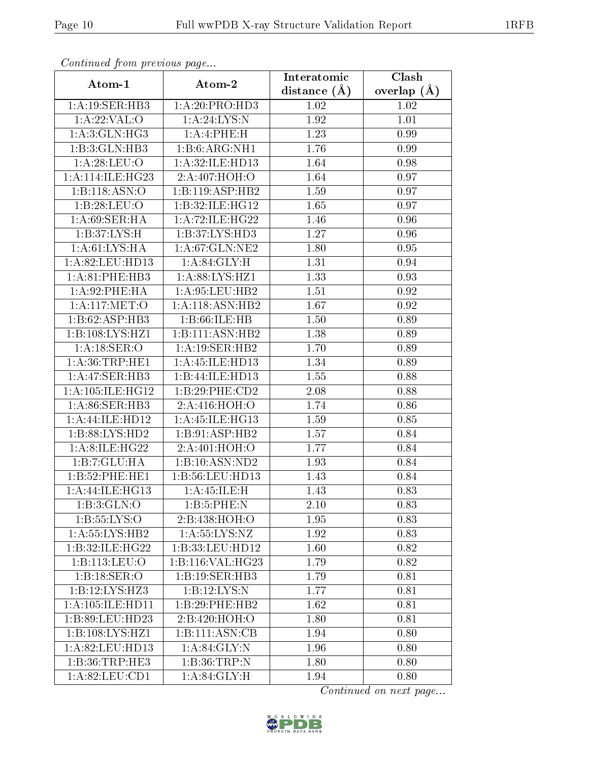| Continuatu jibin previous puge |                                | Interatomic    | Clash         |
|--------------------------------|--------------------------------|----------------|---------------|
| Atom-1                         | Atom-2                         | distance $(A)$ | overlap $(A)$ |
| 1:A:19:SER:HB3                 | 1:A:20:PRO:HD3                 | 1.02           | 1.02          |
| 1: A:22:VAL:O                  | 1: A:24: LYS: N                | 1.92           | 1.01          |
| 1: A:3: GLN: HG3               | 1:A:4:PHE:H                    | 1.23           | 0.99          |
| 1:B:3:GLN:HB3                  | 1:B:6:ARG:NH1                  | 1.76           | 0.99          |
| 1: A:28:LEU:O                  | 1:A:32:ILE:HD13                | 1.64           | 0.98          |
| 1: A:114: ILE: HG23            | 2:A:407:HOH:O                  | 1.64           | 0.97          |
| 1:B:118:ASN:O                  | 1:B:119:ASP:HB2                | 1.59           | 0.97          |
| 1:B:28:LEU:O                   | 1:B:32:ILE:HG12                | 1.65           | 0.97          |
| 1: A:69: SER:H A               | 1:A:72:ILE:HG22                | 1.46           | 0.96          |
| 1: B:37: LYS:H                 | 1: B:37: LYS: HD3              | 1.27           | 0.96          |
| 1: A:61:LYS:HA                 | 1:A:67:GLN:NE2                 | 1.80           | 0.95          |
| 1:A:82:LEU:HD13                | 1: A:84: GLY: H                | 1.31           | 0.94          |
| 1: A:81:PHE:HB3                | $1: A:88: LYS: \overline{HZ1}$ | 1.33           | 0.93          |
| 1:A:92:PHE:HA                  | 1: A:95: LEU:HB2               | 1.51           | 0.92          |
| 1:A:117:MET:O                  | 1:A:118:ASN:HB2                | 1.67           | 0.92          |
| 1:B:62:ASP:HB3                 | 1:B:66:ILE:HB                  | 1.50           | 0.89          |
| 1:B:108:LYS:HZ1                | 1:B:111:ASN:HB2                | 1.38           | 0.89          |
| 1: A:18: SER:O                 | 1:A:19:SER:HB2                 | 1.70           | 0.89          |
| 1: A:36:TRP:HE1                | 1:A:45:ILE:HD13                | 1.34           | 0.89          |
| 1:A:47:SER:HB3                 | 1:B:44:ILE:HD13                | 1.55           | 0.88          |
| 1: A:105: ILE: HG12            | 1:B:29:PHE:CD2                 | 2.08           | 0.88          |
| 1:A:86:SER:HB3                 | 2:A:416:HOH:O                  | 1.74           | 0.86          |
| 1:A:44:ILE:HD12                | 1:A:45:ILE:HG13                | 1.59           | 0.85          |
| 1: B:88: LYS: HD2              | 1:B:91:ASP:HB2                 | 1.57           | 0.84          |
| 1:A:8:ILE:HG22                 | 2:A:401:HOH:O                  | 1.77           | 0.84          |
| 1:B:7:GLU:HA                   | 1:B:10:ASN:ND2                 | 1.93           | 0.84          |
| 1:B:52:PHE:HE1                 | 1:B:56:LEU:HD13                | 1.43           | 0.84          |
| 1: A: 44: ILE: HG13            | 1: A:45: ILE:H                 | 1.43           | 0.83          |
| 1: B: 3: GLN: O                | 1:B:5:PHE:N                    | 2.10           | 0.83          |
| 1:B:55:LYS:O                   | 2:B:438:HOH:O                  | 1.95           | 0.83          |
| 1:A:55:LYS:HB2                 | 1: A: 55: LYS: NZ              | 1.92           | 0.83          |
| 1:B:32:ILE:HG22                | 1:B:33:LEU:HD12                | 1.60           | 0.82          |
| 1:B:113:LEU:O                  | 1:B:116:VAL:HG23               | 1.79           | 0.82          |
| 1:B:18:SER:O                   | 1:B:19:SER:HB3                 | 1.79           | 0.81          |
| 1:B:12:LYS:HZ3                 | 1:B:12:LYS:N                   | 1.77           | 0.81          |
| 1:A:105:ILE:HD11               | 1:B:29:PHE:HB2                 | 1.62           | 0.81          |
| 1:B:89:LEU:HD23                | 2:B:420:HOH:O                  | 1.80           | 0.81          |
| 1:B:108:LYS:HZ1                | 1:B:111:ASN:CB                 | 1.94           | 0.80          |
| 1:A:82:LEU:HD13                | 1: A:84: GLY:N                 | 1.96           | 0.80          |
| 1:B:36:TRP:HE3                 | 1:B:36:TRP:N                   | 1.80           | 0.80          |
| 1:A:82:LEU:CD1                 | 1: A:84: GLY: H                | 1.94           | 0.80          |

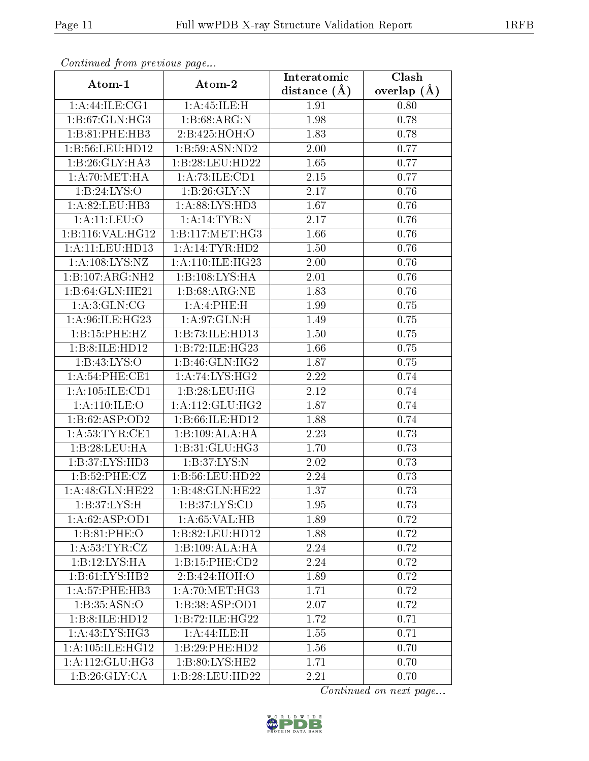| Communaca from previous page |                              | Interatomic       | Clash         |
|------------------------------|------------------------------|-------------------|---------------|
| Atom-1                       | Atom-2                       | distance $(A)$    | overlap $(A)$ |
| 1: A:44: ILE: CG1            | 1: A:45: ILE:H               | 1.91              | 0.80          |
| 1:B:67:GLN:HG3               | 1:B:68:ARG:N                 | 1.98              | 0.78          |
| 1:B:81:PHE:HB3               | 2:B:425:HOH:O                | 1.83              | 0.78          |
| 1:B:56:LEU:HD12              | 1:B:59:ASN:ND2               | 2.00              | 0.77          |
| 1:B:26:GLY:HA3               | 1:B:28:LEU:HD22              | 1.65              | 0.77          |
| 1: A:70:MET:HA               | 1: A:73: ILE: CD1            | 2.15              | 0.77          |
| 1:B:24:LYS:O                 | 1:B:26:GLY:N                 | 2.17              | 0.76          |
| 1: A:82:LEU:HB3              | 1: A:88: LYS: HD3            | 1.67              | 0.76          |
| $1:$ A: $11:$ LEU: $O$       | 1: A:14:TYR:N                | $\overline{2.17}$ | 0.76          |
| 1:B:116:VAL:HG12             | 1: B: 117: MET: HG3          | 1.66              | 0.76          |
| 1:A:11:LEU:HD13              | 1:A:14:TYR:HD2               | 1.50              | 0.76          |
| 1:A:108:LYS:NZ               | 1: A:110: ILE: HG23          | 2.00              | 0.76          |
| 1:B:107:ARG:NH2              | 1:B:108:LYS:HA               | 2.01              | 0.76          |
| 1:B:64:GLN:HE21              | 1: B:68: ARG: NE             | 1.83              | 0.76          |
| 1: A:3: GLN: CG              | 1:A:4:PHE:H                  | 1.99              | 0.75          |
| 1: A:96: ILE: HG23           | 1:A:97:GLN:H                 | 1.49              | 0.75          |
| 1:B:15:PHE:HZ                | 1:B:73:ILE:HD13              | 1.50              | 0.75          |
| 1:B:8:ILE:HD12               | 1:B:72:ILE:HG23              | 1.66              | 0.75          |
| 1:B:43:LYS:O                 | 1:B:46:GLN:HG2               | 1.87              | 0.75          |
| 1:A:54:PHE:CE1               | 1:A:74:LYS:HG2               | 2.22              | 0.74          |
| 1:A:105:ILE:CD1              | 1:B:28:LEU:HG                | 2.12              | 0.74          |
| 1: A:110: ILE: O             | 1: A:112: GLU: HG2           | 1.87              | 0.74          |
| 1:B:62:ASP:OD2               | 1: B:66: ILE: HD12           | 1.88              | 0.74          |
| 1: A:53:TYR:CE1              | 1:B:109:ALA:HA               | 2.23              | 0.73          |
| 1:B:28:LEU:HA                | 1:B:31:GLU:HG3               | 1.70              | 0.73          |
| 1:B:37:LYS:HD3               | 1:B:37:LYS:N                 | 2.02              | 0.73          |
| 1:B:52:PHE:CZ                | 1:B:56:LEU:HD22              | 2.24              | 0.73          |
| 1: A:48: GLN: HE22           | 1:B:48:GLN:HE22              | 1.37              | 0.73          |
| 1: B:37: L <sub>Y</sub> S: H | 1: B: 37: LYS: CD            | 1.95              | 0.73          |
| 1:A:62:ASP:OD1               | 1: A:65: VAL:HB              | 1.89              | 0.72          |
| 1: B:81: PHE:O               | 1:B:82:LEU:HD12              | 1.88              | 0.72          |
| 1: A:53:TYR:CZ               | 1:B:109:ALA:HA               | 2.24              | 0.72          |
| 1:B:12:LYS:HA                | 1:B:15:PHE:CD2               | 2.24              | 0.72          |
| 1:B:61:LYS:HB2               | 2:B:424:HOH:O                | 1.89              | 0.72          |
| 1: A:57:PHE:HB3              | $1: A:70:MET:H\overline{G3}$ | 1.71              | 0.72          |
| 1:B:35:ASN:O                 | 1:B:38:ASP:OD1               | $2.\overline{07}$ | 0.72          |
| 1:B:8:ILE:HD12               | 1:B:72:ILE:HG22              | 1.72              | 0.71          |
| 1: A: 43: LYS: HG3           | 1: A:44: ILE:H               | 1.55              | 0.71          |
| 1: A:105: ILE: HG12          | 1:B:29:PHE:HD2               | 1.56              | 0.70          |
| 1: A:112: GLU:HG3            | 1:B:80:LYS:HE2               | 1.71              | 0.70          |
| 1:B:26:GLY:CA                | 1:B:28:LEU:HD22              | 2.21              | 0.70          |

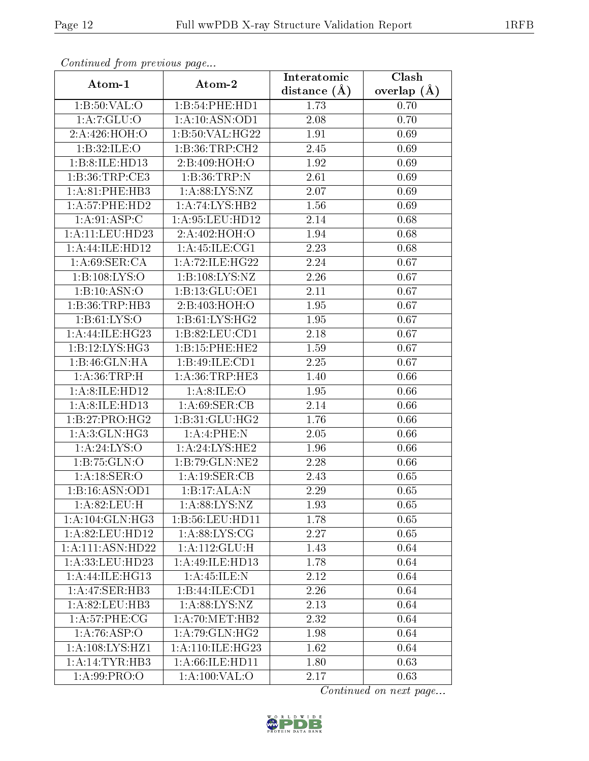| Communa from previous page         |                              | Interatomic       | Clash             |
|------------------------------------|------------------------------|-------------------|-------------------|
| Atom-1                             | Atom-2                       | distance $(A)$    | overlap $(\AA)$   |
| $1:B:50:V\overline{\mathrm{AL:O}}$ | 1:B:54:PHE:HD1               | 1.73              | 0.70              |
| 1:A:7:GLU:O                        | 1: A:10: ASN:OD1             | 2.08              | 0.70              |
| 2:A:426:HOH:O                      | 1: B:50: VAL:HG22            | 1.91              | 0.69              |
| 1:B:32:ILE:O                       | 1:B:36:TRP:CH2               | 2.45              | 0.69              |
| 1:B:8:ILE:HD13                     | 2:B:409:HOH:O                | $\overline{1.92}$ | 0.69              |
| 1: B:36: TRP:CE3                   | 1:B:36:TRP:N                 | 2.61              | 0.69              |
| 1: A:81:PHE:HB3                    | 1: A:88: LYS: NZ             | 2.07              | 0.69              |
| 1:A:57:PHE:HD2                     | 1:A:74:LYS:HB2               | 1.56              | 0.69              |
| 1:A:91:ASP:C                       | 1:A:95:LEU:HD12              | 2.14              | 0.68              |
| 1:A:11:LEU:HD23                    | 2:A:402:HOH:O                | 1.94              | 0.68              |
| 1:A:44:ILE:HD12                    | 1: A: 45: ILE: CG1           | $2.\overline{23}$ | 0.68              |
| 1: A:69: SER:CA                    | 1:A:72:ILE:HG22              | 2.24              | 0.67              |
| 1:B:108:LYS:O                      | 1:B:108:LYS:NZ               | 2.26              | 0.67              |
| 1:B:10:ASN:O                       | 1:B:13:GLU:OE1               | 2.11              | 0.67              |
| 1:B:36:TRP:HB3                     | 2:B:403:HOH:O                | 1.95              | $\overline{0.67}$ |
| 1: B: 61: LYS: O                   | 1:B:61:LYS:HG2               | 1.95              | 0.67              |
| 1:A:44:ILE:HG23                    | 1:B:82:LEU:CD1               | 2.18              | 0.67              |
| 1:B:12:LYS:HG3                     | 1: B:15: PHE:HE2             | 1.59              | 0.67              |
| 1:B:46:GLN:HA                      | 1:B:49:ILE:CD1               | 2.25              | 0.67              |
| 1: A:36:TRP:H                      | 1: A:36:TRP:HE3              | 1.40              | 0.66              |
| 1:A:8:ILE:HD12                     | 1: A:8: ILE: O               | 1.95              | 0.66              |
| 1:A:8:ILE:HD13                     | 1: A:69: SER:CB              | 2.14              | 0.66              |
| 1: B: 27: PRO:HG2                  | 1:B:31:GLU:HG2               | 1.76              | 0.66              |
| 1: A:3: GLN: HG3                   | 1:A:4:PHE:N                  | 2.05              | 0.66              |
| $1:A:24:LYS:\overline{O}$          | 1: A:24: LYS:HE2             | 1.96              | 0.66              |
| 1:B:75:GLN:O                       | 1:B:79:GLN:NE2               | 2.28              | 0.66              |
| 1: A:18: SER:O                     | 1:A:19:SER:CB                | 2.43              | 0.65              |
| 1:B:16:ASN:OD1                     | 1:B:17:ALA:N                 | 2.29              | 0.65              |
| 1: A:82: LEU:H                     | $1: A:88: LY\overline{S:NZ}$ | 1.93              | 0.65              |
| 1:A:104:GLN:HG3                    | 1:B:56:LEU:HD11              | 1.78              | 0.65              |
| 1: A:82:LEU:HD12                   | 1: A:88: LYS: CG             | 2.27              | 0.65              |
| 1:A:111:ASN:HD22                   | 1:A:112:GLU:H                | 1.43              | 0.64              |
| 1:A:33:LEU:HD23                    | 1:A:49:ILE:HD13              | 1.78              | 0.64              |
| 1:A:44:ILE:HG13                    | 1: A:45: ILE:N               | 2.12              | 0.64              |
| 1:A:47:SER:HB3                     | 1:B:44:ILE:CD1               | 2.26              | 0.64              |
| 1:A:82:LEU:HB3                     | 1: A:88: LYS: NZ             | 2.13              | 0.64              |
| 1: A:57:PHE:CG                     | 1: A:70:MET:HB2              | 2.32              | 0.64              |
| 1:A:76:ASP:O                       | 1: A:79: GLN: HG2            | 1.98              | 0.64              |
| 1: A: 108: LYS: HZ1                | 1: A:110: ILE: HG23          | 1.62              | 0.64              |
| 1:A:14:TYR:HB3                     | 1:A:66:ILE:HD11              | 1.80              | 0.63              |
| 1: A:99: PRO:O                     | 1: A:100: VAL:O              | 2.17              | 0.63              |

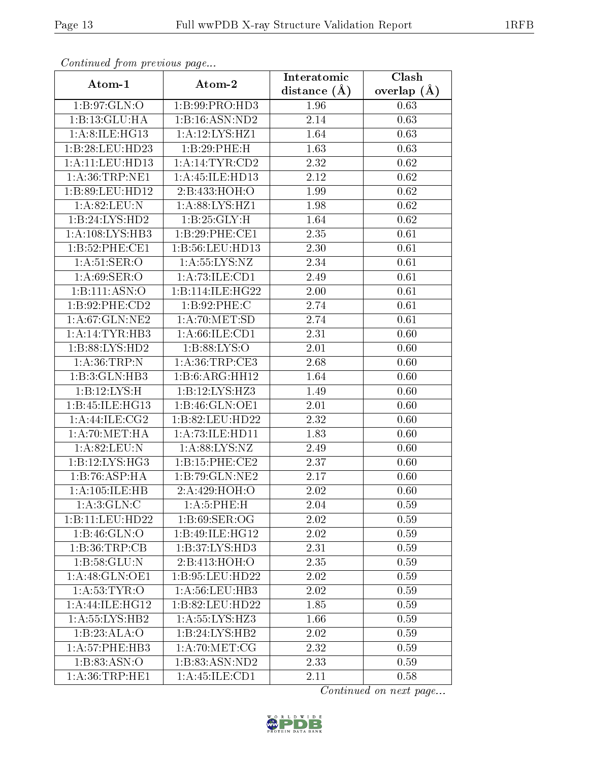| Communa from previous page |                    | Interatomic    | $\overline{\text{Clash}}$ |
|----------------------------|--------------------|----------------|---------------------------|
| Atom-1                     | Atom-2             | distance $(A)$ | overlap $(A)$             |
| 1:B:97:GLN:O               | 1:B:99:PRO:HD3     | 1.96           | 0.63                      |
| 1:B:13:GLU:HA              | 1:B:16:ASN:ND2     | 2.14           | 0.63                      |
| 1: A:8: ILE: HG13          | 1:A:12:LYS:HZ1     | 1.64           | 0.63                      |
| 1:B:28:LEU:HD23            | 1:B:29:PHE:H       | 1.63           | 0.63                      |
| 1:A:11:LEU:HD13            | 1: A:14:TYR:CD2    | 2.32           | 0.62                      |
| 1: A:36:TRP:NE1            | 1:A:45:ILE:HD13    | 2.12           | 0.62                      |
| 1:B:89:LEU:HD12            | 2:B:433:HOH:O      | 1.99           | 0.62                      |
| $1:$ A:82:LEU:N            | 1: A:88: LYS: HZ1  | 1.98           | 0.62                      |
| 1:B:24:LYS:HD2             | 1: B: 25: GLY: H   | 1.64           | 0.62                      |
| 1:A:108:LYS:HB3            | 1:B:29:PHE:CE1     | 2.35           | 0.61                      |
| 1:B:52:PHE:CE1             | 1:B:56:LEU:HD13    | 2.30           | 0.61                      |
| 1: A:51: SER:O             | 1: A: 55: LYS: NZ  | 2.34           | 0.61                      |
| 1: A:69: SER:O             | 1:A:73:ILE:CD1     | 2.49           | 0.61                      |
| 1:Bi:111:ASN:O             | 1:B:114:ILE:HG22   | 2.00           | 0.61                      |
| 1:B:92:PHE:CD2             | 1:B:92:PHE:C       | 2.74           | 0.61                      |
| 1:A:67:GLN:NE2             | 1: A:70: MET:SD    | 2.74           | 0.61                      |
| 1:A:14:TYR:HB3             | 1: A:66: ILE: CD1  | 2.31           | 0.60                      |
| 1:B:88:LYS:HD2             | 1: B:88: LYS:O     | 2.01           | 0.60                      |
| 1: A:36:TRP:N              | 1: A:36:TRP:CE3    | 2.68           | 0.60                      |
| 1:B:3:GLN:HB3              | 1:B:6:ARG:HH12     | 1.64           | 0.60                      |
| 1:B:12:LYS:H               | 1:B:12:LYS:HZ3     | 1.49           | 0.60                      |
| 1:B:45:ILE:HG13            | 1:B:46:GLN:OE1     | 2.01           | 0.60                      |
| 1:A:44:ILE:CG2             | 1:B:82:LEU:HD22    | 2.32           | 0.60                      |
| 1: A:70:MET:HA             | 1:A:73:ILE:HD11    | 1.83           | 0.60                      |
| 1: A:82: LEU: N            | 1: A:88: LYS: NZ   | 2.49           | 0.60                      |
| 1:B:12:LYS:HG3             | 1:B:15:PHE:CE2     | 2.37           | 0.60                      |
| 1:B:76:ASP:HA              | 1:B:79:GLN:NE2     | 2.17           | 0.60                      |
| 1: A: 105: ILE: HB         | 2:A:429:HOH:O      | 2.02           | 0.60                      |
| 1: A:3: GLN: C             | 1: A:5: PHE: H     | 2.04           | 0.59                      |
| 1:B:11:LEU:HD22            | 1: B:69: SER:OG    | 2.02           | 0.59                      |
| 1:B:46:GLN:O               | 1:B:49:ILE:HG12    | 2.02           | 0.59                      |
| 1:B:36:TRP:CB              | 1:B:37:LYS:HD3     | 2.31           | 0.59                      |
| 1: B:58: GLU:N             | 2:B:413:HOH:O      | 2.35           | 0.59                      |
| 1: A:48: GLN:OE1           | 1:B:95:LEU:HD22    | 2.02           | 0.59                      |
| 1: A:53:TYR:O              | 1: A:56:LEU:HB3    | 2.02           | 0.59                      |
| 1:A:44:ILE:HG12            | 1:B:82:LEU:HD22    | 1.85           | 0.59                      |
| 1:A:55:LYS:HB2             | 1:A:55:LYS:HZ3     | 1.66           | 0.59                      |
| 1:B:23:ALA:O               | 1:B:24:LYS:HB2     | 2.02           | 0.59                      |
| 1: A:57:PHE:HB3            | 1: A:70:MET:CG     | 2.32           | 0.59                      |
| 1: B: 83: ASN:O            | 1:B:83:ASN:ND2     | 2.33           | 0.59                      |
| 1: A:36:TRP:HE1            | 1: A: 45: ILE: CD1 | 2.11           | 0.58                      |

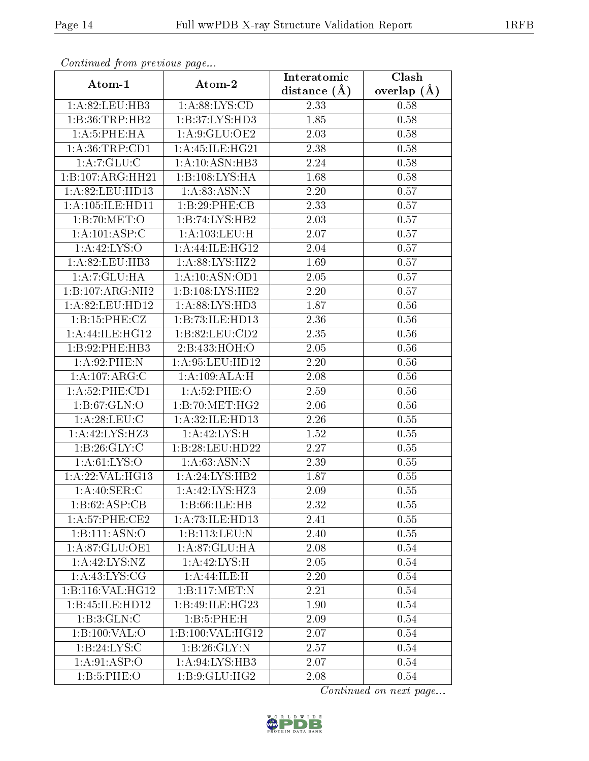| Communica from precious page |                    | Interatomic      | Clash             |
|------------------------------|--------------------|------------------|-------------------|
| Atom-1                       | Atom-2             | distance $(\AA)$ | overlap $(\AA)$   |
| 1:A:82:LEU:HB3               | 1: A:88: LYS:CD    | 2.33             | 0.58              |
| 1:B:36:TRP:HB2               | 1:B:37:LYS:HD3     | 1.85             | 0.58              |
| 1: A:5: PHE: HA              | 1: A:9: GLU: OE2   | 2.03             | 0.58              |
| 1: A:36:TRP:CD1              | 1: A:45: ILE: HG21 | 2.38             | 0.58              |
| 1:A:7:GLU:C                  | 1: A:10: ASN:HB3   | 2.24             | 0.58              |
| 1:B:107:ARG:HH21             | 1:B:108:LYS:HA     | 1.68             | 0.58              |
| 1:A:82:LEU:HD13              | 1: A:83: ASN:N     | 2.20             | 0.57              |
| 1: A: 105: ILE: HD11         | 1:B:29:PHE:CB      | 2.33             | 0.57              |
| 1:B:70:MET:O                 | 1:B:74:LYS:HB2     | 2.03             | 0.57              |
| 1:A:101:ASP:C                | 1: A: 103: LEU:H   | 2.07             | 0.57              |
| 1: A:42: LYS:O               | 1:A:44:ILE:HG12    | 2.04             | 0.57              |
| 1:A:82:LEU:HB3               | 1:A:88:LYS:HZ2     | 1.69             | 0.57              |
| 1:A:7:GLU:HA                 | 1: A:10: ASN:OD1   | 2.05             | $\overline{0.57}$ |
| 1:B:107:ARG:NH2              | 1:B:108:LYS:HE2    | 2.20             | 0.57              |
| 1:A:82:LEU:HD12              | 1:A:88:LYS:HD3     | 1.87             | 0.56              |
| 1:B:15:PHE:CZ                | 1:B:73:ILE:HD13    | 2.36             | 0.56              |
| 1:A:44:ILE:HG12              | 1:B:82:LEU:CD2     | 2.35             | 0.56              |
| 1:B:92:PHE:HB3               | 2:B:433:HOH:O      | 2.05             | 0.56              |
| 1: A:92:PHE:N                | 1: A:95:LEU:HD12   | 2.20             | 0.56              |
| 1:A:107:ARG:C                | 1:A:109:ALA:H      | 2.08             | 0.56              |
| 1: A:52:PHE:CD1              | 1: A:52:PHE:O      | 2.59             | 0.56              |
| 1: B:67: GLN:O               | 1:B:70:MET:HG2     | 2.06             | 0.56              |
| 1: A:28:LEU:C                | 1:A:32:ILE:HD13    | 2.26             | 0.55              |
| 1:A:42:LYS:HZ3               | 1: A:42: LYS:H     | 1.52             | 0.55              |
| 1: B:26: GLY: C              | 1:B:28:LEU:HD22    | 2.27             | 0.55              |
| 1: A:61:LYS:O                | 1: A:63: ASN:N     | 2.39             | 0.55              |
| 1:A:22:VAL:HG13              | 1:A:24:LYS:HB2     | 1.87             | 0.55              |
| 1: A:40: SER: C              | 1:A:42:LYS:HZ3     | 2.09             | 0.55              |
| 1:B:62:ASP:CB                | 1: B:66: ILE: HB   | 2.32             | 0.55              |
| 1: A:57:PHE:CE2              | 1:A:73:ILE:HD13    | 2.41             | 0.55              |
| 1:B:111:ASN:O                | 1:B:113:LEU:N      | 2.40             | 0.55              |
| 1:A:87:GLU:OE1               | 1:A:87:GLU:HA      | 2.08             | 0.54              |
| 1: A: 42: LYS: NZ            | 1: A:42:LYS:H      | 2.05             | 0.54              |
| 1: A: 43: LYS: CG            | 1:A:44:ILE:H       | 2.20             | 0.54              |
| 1:B:116:VAL:HG12             | 1:Bi:117:MET:N     | 2.21             | 0.54              |
| 1:B:45:ILE:HD12              | 1:B:49:ILE:HG23    | 1.90             | 0.54              |
| 1: B: 3: GLN: C              | 1:B:5:PHE:H        | 2.09             | 0.54              |
| 1:B:100:VAL:O                | 1:B:100:VAL:HG12   | 2.07             | 0.54              |
| 1: B: 24: LYS:C              | 1: B:26: GLY:N     | 2.57             | 0.54              |
| 1: A:91: ASP:O               | 1: A:94: LYS: HB3  | 2.07             | 0.54              |
| 1: B: 5: PHE: O              | 1: B: 9: GLU: HG2  | 2.08             | 0.54              |

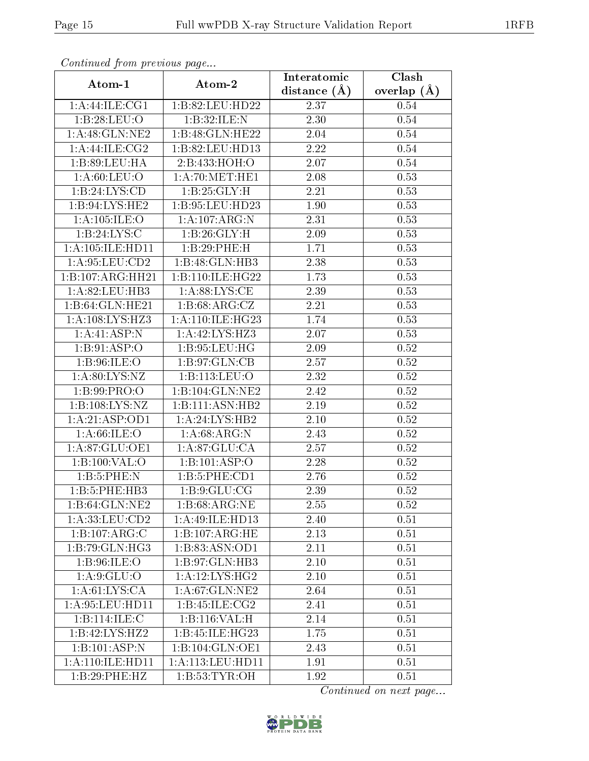| Continuati pont previous page |                               | Interatomic       | Clash         |
|-------------------------------|-------------------------------|-------------------|---------------|
| Atom-1                        | Atom-2                        | distance $(A)$    | overlap $(A)$ |
| 1:A:44:ILE:CG1                | 1:B:82:LEU:HD22               | 2.37              | 0.54          |
| 1:B:28:LEU:O                  | 1:B:32:ILE:N                  | 2.30              | 0.54          |
| 1: A:48: GLN:NE2              | 1:B:48:GLN:HE22               | $2.04\,$          | 0.54          |
| 1:A:44:ILE:CG2                | 1:B:82:LEU:HD13               | 2.22              | 0.54          |
| 1: B:89: LEU: HA              | 2:B:433:HOH:O                 | 2.07              | 0.54          |
| 1: A:60:LEU:O                 | 1: A:70:MET:HE1               | 2.08              | 0.53          |
| 1:B:24:LYS:CD                 | 1:B:25:GLY:H                  | $\overline{2.21}$ | 0.53          |
| 1:B:94:LYS:HE2                | 1:B:95:LEU:HD23               | 1.90              | 0.53          |
| 1: A: 105: ILE: O             | 1:A:107:ARG:N                 | $\overline{2.31}$ | 0.53          |
| 1:B:24:LYS:C                  | 1:B:26:GLY:H                  | 2.09              | 0.53          |
| 1:A:105:ILE:HD11              | 1:B:29:PHE:H                  | 1.71              | 0.53          |
| 1: A:95:LEU:CD2               | 1:B:48:GLN:HB3                | 2.38              | 0.53          |
| 1:B:107:ARG:HH21              | 1:B:110:ILE:HG22              | 1.73              | 0.53          |
| 1:A:82:LEU:HB3                | $1: A:88: LYS: \overline{CE}$ | 2.39              | 0.53          |
| 1:B:64:GLN:HE21               | 1: B:68: ARG: CZ              | 2.21              | 0.53          |
| 1:A:108:LYS:HZ3               | 1:A:110:ILE:HG23              | 1.74              | 0.53          |
| 1:A:41:ASP:N                  | 1:A:42:LYS:HZ3                | 2.07              | 0.53          |
| 1: B:91: ASP:O                | 1: B: 95: LEU: HG             | 2.09              | 0.52          |
| 1:B:96:ILE:O                  | 1: B: 97: GLN: CB             | 2.57              | $0.52\,$      |
| 1: A:80: LYS: NZ              | 1:B:113:LEU:O                 | 2.32              | 0.52          |
| 1:B:99:PRO:O                  | 1:B:104:GLN:NE2               | 2.42              | 0.52          |
| 1:B:108:LYS:NZ                | 1:B:111:ASN:HB2               | 2.19              | 0.52          |
| 1:A:21:ASP:OD1                | 1:A:24:LYS:HB2                | 2.10              | 0.52          |
| 1: A:66: ILE: O               | 1: A:68: ARG: N               | 2.43              | $0.52\,$      |
| 1:A:87:GLU:OE1                | 1: A:87: GLU:CA               | 2.57              | 0.52          |
| 1:B:100:VAL:O                 | 1:B:101:ASP:O                 | $\overline{2.28}$ | $0.52\,$      |
| 1:B:5:PHE:N                   | 1: B:5: PHE:CD1               | 2.76              | 0.52          |
| 1:B:5:PHE:HB3                 | 1: B: 9: GLU: CG              | 2.39              | 0.52          |
| 1:B:64:GLN:NE2                | 1:B:68:ARG:NE                 | 2.55              | 0.52          |
| 1:A:33:LEU:CD2                | 1:A:49:ILE:HD13               | 2.40              | 0.51          |
| 1:B:107:ARG:C                 | 1:B:107:ARG:HE                | 2.13              | 0.51          |
| 1:B:79:GLN:HG3                | 1:B:83:ASN:OD1                | 2.11              | 0.51          |
| 1: B:96: ILE: O               | 1:B:97:GLN:HB3                | 2.10              | 0.51          |
| 1: A:9: GLU:O                 | 1:A:12:LYS:HG2                | 2.10              | 0.51          |
| $1: A:61: LYS: \overline{CA}$ | 1:A:67:GLN:NE2                | 2.64              | 0.51          |
| 1: A:95:LEU:HD11              | 1: B: 45: ILE: CG2            | 2.41              | 0.51          |
| 1:B:114:ILE:C                 | 1:B:116:VAL:H                 | 2.14              | 0.51          |
| 1:B:42:LYS:HZ2                | 1:B:45:ILE:HG23               | 1.75              | 0.51          |
| 1:B:101:ASP:N                 | 1:B:104:GLN:OE1               | 2.43              | 0.51          |
| 1:A:110:ILE:HD11              | 1:A:113:LEU:HD11              | 1.91              | 0.51          |
| 1:B:29:PHE:HZ                 | 1: B:53: TYR:OH               | 1.92              | 0.51          |

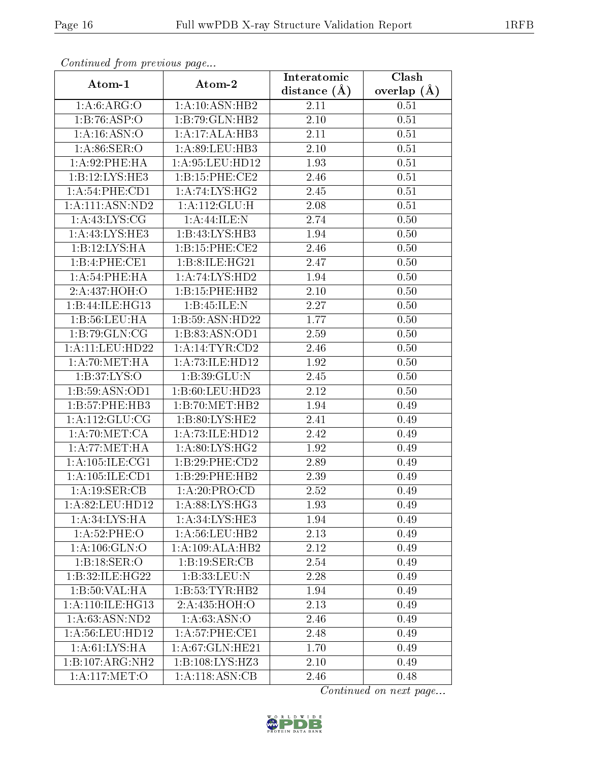| Comunaca jiom previous page |                    | Interatomic    | Clash             |
|-----------------------------|--------------------|----------------|-------------------|
| Atom-1                      | Atom-2             | distance $(A)$ | overlap $(A)$     |
| 1: A:6: ARG:O               | 1: A:10: ASN:HB2   | 2.11           | 0.51              |
| 1:B:76:ASP:O                | 1:B:79:GLN:HB2     | 2.10           | 0.51              |
| 1: A:16: ASN:O              | 1:A:17:ALA:HB3     | 2.11           | 0.51              |
| 1: A:86: SER:O              | 1:A:89:LEU:HB3     | 2.10           | 0.51              |
| 1:A:92:PHE:HA               | $1:$ A:95:LEU:HD12 | 1.93           | $\overline{0.51}$ |
| 1:B:12:LYS:HE3              | 1:B:15:PHE:CE2     | 2.46           | 0.51              |
| 1: A:54:PHE:CD1             | 1: A:74: LYS:HG2   | 2.45           | 0.51              |
| 1:A:111:ASN:ND2             | 1:A:112:GLU:H      | 2.08           | 0.51              |
| 1: A: 43: LYS: CG           | 1: A:44: ILE:N     | 2.74           | 0.50              |
| 1:A:43:LYS:HE3              | 1:B:43:LYS:HB3     | 1.94           | 0.50              |
| 1:B:12:LYS:HA               | 1:B:15:PHE:CE2     | 2.46           | 0.50              |
| $1:B:4:PHE:\overline{CE1}$  | 1:B:8:ILE:HG21     | 2.47           | 0.50              |
| 1: A:54:PHE:HA              | 1:A:74:LYS:HD2     | 1.94           | 0.50              |
| 2:A:437:HOH:O               | 1:B:15:PHE:HB2     | 2.10           | 0.50              |
| 1:B:44:ILE:HG13             | 1: B:45: ILE:N     | 2.27           | 0.50              |
| 1: B: 56: LEU: HA           | 1:B:59:ASN:HD22    | 1.77           | 0.50              |
| 1:B:79:GLN:CG               | 1:B:83:ASN:OD1     | 2.59           | 0.50              |
| 1:A:11:LEU:HD22             | 1: A:14:TYR:CD2    | 2.46           | 0.50              |
| 1: A:70:MET:HA              | 1:A:73:ILE:HD12    | 1.92           | 0.50              |
| 1: B: 37: LYS: O            | 1: B:39: GLU:N     | 2.45           | 0.50              |
| 1:B:59:ASN:OD1              | 1:B:60:LEU:HD23    | 2.12           | 0.50              |
| 1:B:57:PHE:HB3              | 1:B:70:MET:HB2     | 1.94           | 0.49              |
| 1: A: 112: GLU: CG          | 1: B:80: LYS: HE2  | 2.41           | 0.49              |
| 1:A:70:MET:CA               | 1:A:73:ILE:HD12    | 2.42           | 0.49              |
| 1: A:77: MET:HA             | 1: A:80: LYS: HG2  | 1.92           | 0.49              |
| 1: A: 105: ILE: CG1         | 1:B:29:PHE:CD2     | 2.89           | 0.49              |
| 1: A: 105: ILE: CD1         | 1:B:29:PHE:HB2     | 2.39           | 0.49              |
| 1:A:19:SER:CB               | 1:A:20:PRO:CD      | 2.52           | 0.49              |
| 1:A:82:LEU:HD12             | 1: A:88: LYS: HG3  | 1.93           | 0.49              |
| 1:A:34:LYS:HA               | 1: A:34: LYS: HE3  | 1.94           | 0.49              |
| 1:A:52:PHE:O                | 1:A:56:LEU:HB2     | 2.13           | 0.49              |
| 1: A: 106: GLN:O            | 1:A:109:ALA:HB2    | 2.12           | 0.49              |
| 1:B:18:SER:O                | 1:B:19:SER:CB      | 2.54           | 0.49              |
| 1:B:32:ILE:HG22             | 1:B:33:LEU:N       | 2.28           | 0.49              |
| 1:B:50:VAL:HA               | 1:B:53:TYR:HB2     | 1.94           | 0.49              |
| 1: A:110: ILE: HG13         | 2:A:435:HOH:O      | 2.13           | 0.49              |
| 1: A:63: ASN:ND2            | 1:A:63:ASN:O       | 2.46           | 0.49              |
| 1: A:56: LEU: HD12          | 1: A:57:PHE:CE1    | 2.48           | 0.49              |
| 1: A:61: LYS: HA            | 1: A:67: GLN: HE21 | 1.70           | 0.49              |
| 1:B:107:ARG:NH2             | 1:B:108:LYS:HZ3    | 2.10           | 0.49              |
| 1:A:117:MET:O               | 1:A:118:ASN:CB     | 2.46           | 0.48              |

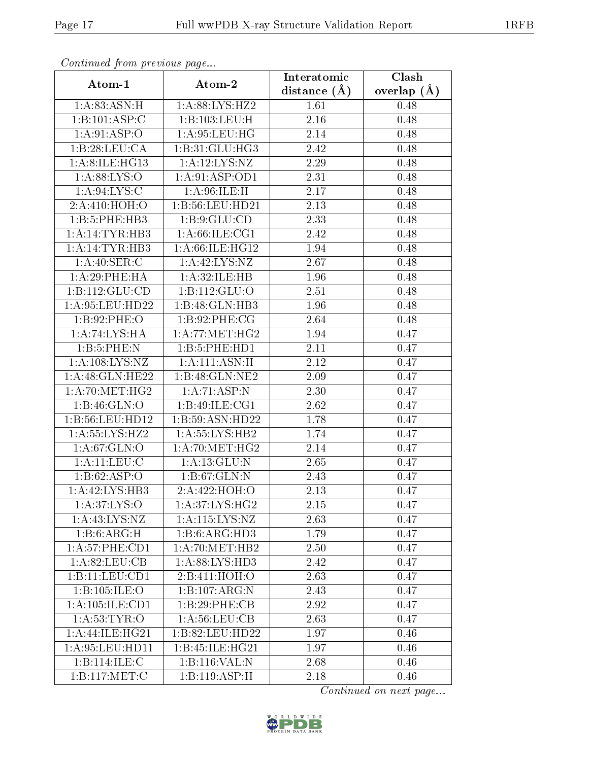| Communica from precious page |                    | Clash<br>Interatomic |                 |  |
|------------------------------|--------------------|----------------------|-----------------|--|
| Atom-1                       | Atom-2             | distance $(\AA)$     | overlap $(\AA)$ |  |
| 1: A:83: ASN:H               | 1:A:88:LYS:HZ2     | 1.61                 | 0.48            |  |
| 1:B:101:ASP:C                | 1:B:103:LEU:H      | 2.16                 | 0.48            |  |
| 1:A:91:ASP:O                 | 1: A:95: LEU: HG   | 2.14                 | 0.48            |  |
| 1:B:28:LEU:CA                | 1:B:31:GLU:HG3     | 2.42                 | 0.48            |  |
| 1: A:8:ILE:HG13              | 1: A: 12: LYS: NZ  | 2.29                 | 0.48            |  |
| 1: A:88:LYS:O                | 1: A:91: ASP:OD1   | 2.31                 | 0.48            |  |
| 1: A:94: LYS:C               | 1: A:96: ILE:H     | 2.17                 | 0.48            |  |
| 2:A:410:HOH:O                | 1:B:56:LEU:HD21    | 2.13                 | 0.48            |  |
| 1:B:5:PHE:HB3                | 1: B: 9: GLU: CD   | 2.33                 | 0.48            |  |
| 1: A:14:TYR:HB3              | 1: A:66: ILE: CG1  | 2.42                 | 0.48            |  |
| 1:A:14:TYR:HB3               | 1:A:66:ILE:HG12    | 1.94                 | 0.48            |  |
| 1: A:40: SER: C              | 1:A:42:LYS:NZ      | 2.67                 | 0.48            |  |
| 1:A:29:PHE:HA                | 1: A:32: ILE: HB   | 1.96                 | 0.48            |  |
| 1:B:112:GLU:CD               | 1:B:112:GLU:O      | 2.51                 | 0.48            |  |
| 1:A:95:LEU:HD22              | 1:B:48:GLN:HB3     | 1.96                 | 0.48            |  |
| 1: B:92: PHE:O               | 1: B:92: PHE: CG   | 2.64                 | 0.48            |  |
| 1: A:74: LYS: HA             | 1: A:77: MET:HG2   | 1.94                 | 0.47            |  |
| 1:B:5:PHE:N                  | 1:B:5:PHE:HD1      | 2.11                 | 0.47            |  |
| 1:A:108:LYS:NZ               | 1: A: 111: ASN:H   | 2.12                 | 0.47            |  |
| 1: A:48: GLN: HE22           | 1:B:48:GLN:NE2     | 2.09                 | 0.47            |  |
| 1: A:70:MET:HG2              | 1: A:71: ASP: N    | 2.30                 | 0.47            |  |
| 1:B:46:GLN:O                 | 1:B:49:ILE:CG1     | 2.62                 | 0.47            |  |
| 1:B:56:LEU:HD12              | 1:B:59:ASN:HD22    | 1.78                 | 0.47            |  |
| 1: A: 55: LYS: HZ2           | 1:A:55:LYS:HB2     | 1.74                 | 0.47            |  |
| 1: A:67: GLN:O               | 1: A:70:MET:HG2    | 2.14                 | 0.47            |  |
| $1:$ A: $11:$ LEU: $C$       | 1: A: 13: GLU:N    | 2.65                 | 0.47            |  |
| 1:B:62:ASP:O                 | 1:B:67:GLN:N       | 2.43                 | 0.47            |  |
| 1:A:42:LYS:HB3               | 2:A:422:HOH:O      | 2.13                 | 0.47            |  |
| 1: A:37: LYS:O               | $1: A:37: LYS:HG2$ | 2.15                 | 0.47            |  |
| 1: A: 43: LYS: NZ            | 1:A:115:LYS:NZ     | 2.63                 | 0.47            |  |
| 1:B:6:ARG:H                  | 1:B:6:ARG:HD3      | 1.79                 | 0.47            |  |
| 1:A:57:PHE:CD1               | 1: A:70:MET:HB2    | 2.50                 | 0.47            |  |
| 1: A:82:LEU:CB               | 1: A:88: LYS: HD3  | 2.42                 | 0.47            |  |
| 1:B:11:LEU:CD1               | 2:B:411:HOH:O      | 2.63                 | 0.47            |  |
| 1:B:105:ILE:O                | 1:B:107:ARG:N      | 2.43                 | 0.47            |  |
| 1:A:105:ILE:CD1              | 1:B:29:PHE:CB      | 2.92                 | 0.47            |  |
| 1: A:53:TYR:O                | 1: A:56: LEU: CB   | 2.63                 | 0.47            |  |
| 1:A:44:ILE:HG21              | 1:B:82:LEU:HD22    | 1.97                 | 0.46            |  |
| 1: A:95:LEU:HD11             | 1:B:45:ILE:HG21    | 1.97                 | 0.46            |  |
| 1:B:114:ILE:C                | 1:B:116:VAL:N      | 2.68                 | 0.46            |  |
| 1:B:117:MET:C                | 1:B:119:ASP:H      | 2.18                 | 0.46            |  |

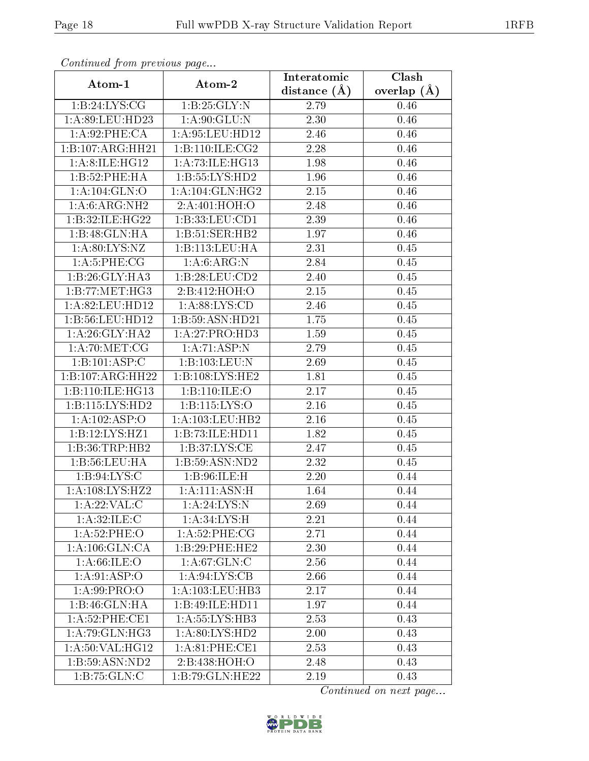| Commuca from previous page   |                            | Interatomic    | $\overline{\text{Clash}}$ |  |
|------------------------------|----------------------------|----------------|---------------------------|--|
| Atom-1                       | Atom-2                     | distance $(A)$ | overlap $(A)$             |  |
| 1:B:24:LYS:CG                | 1:B:25:GLY:N               | 2.79           | 0.46                      |  |
| 1:A:89:LEU:HD23              | 1: A:90: GLU: N            | 2.30           | 0.46                      |  |
| 1: A:92:PHE:CA               | 1: A:95:LEU:HD12           | 2.46           | 0.46                      |  |
| 1:B:107:ARG:HH21             | 1:B:110:ILE:CG2            | 2.28           | 0.46                      |  |
| 1: A:8:ILE:HG12              | 1:A:73:ILE:HG13            | 1.98           | 0.46                      |  |
| 1:B:52:PHE:HA                | 1: B: 55: LYS: HD2         | 1.96           | 0.46                      |  |
| 1: A: 104: GLN:O             | 1: A:104: GLN: HG2         | 2.15           | 0.46                      |  |
| 1:A:6:ARG:NH2                | 2:A:401:HOH:O              | 2.48           | 0.46                      |  |
| 1:B:32:ILE:HG22              | 1:B:33:LEU:CD1             | 2.39           | 0.46                      |  |
| 1:B:48:GLN:HA                | 1:B:51:SER:HB2             | 1.97           | 0.46                      |  |
| 1: A:80: LYS: NZ             | 1:B:113:LEU:HA             | 2.31           | 0.45                      |  |
| 1: A:5:PHE:CG                | 1: A:6: ARG:N              | 2.84           | 0.45                      |  |
| 1:B:26:GLY:HA3               | 1:B:28:LEU:CD2             | 2.40           | 0.45                      |  |
| 1: B: 77: MET:HG3            | 2:B:412:HOH:O              | 2.15           | 0.45                      |  |
| 1:A:82:LEU:HD12              | 1: A:88: LYS:CD            | 2.46           | 0.45                      |  |
| 1:B:56:LEU:HD12              | 1: B: 59: ASN: HD21        | 1.75           | 0.45                      |  |
| 1: A:26: GLY:HA2             | 1:A:27:PRO:HD3             | 1.59           | 0.45                      |  |
| 1: A:70:MET:CG               | 1: A:71: ASP: N            | 2.79           | 0.45                      |  |
| $1:\overline{B:101:ASP:C}$   | 1:B:103:LEU:N              | 2.69           | 0.45                      |  |
| 1:B:107:ARG:HH22             | 1:B:108:LYS:HE2            | 1.81           | 0.45                      |  |
| 1:B:110:ILE:HG13             | 1:B:110:ILE:O              | 2.17           | 0.45                      |  |
| 1: B: 115: LYS: HD2          | 1: B: 115: LYS: O          | 2.16           | 0.45                      |  |
| 1:A:102:ASP:O                | 1:A:103:LEU:HB2            | 2.16           | 0.45                      |  |
| 1:B:12:LYS:HZ1               | 1:B:73:ILE:HDI1            | 1.82           | 0.45                      |  |
| 1:B:36:TRP:HB2               | 1: B:37: LYS: CE           | 2.47           | 0.45                      |  |
| 1:B:56:LEU:HA                | 1:B:59:ASN:ND2             | 2.32           | 0.45                      |  |
| 1: B:94: LYS:C               | 1: B:96: ILE:H             | 2.20           | 0.44                      |  |
| 1:A:108:LYS:HZ2              | 1: A: 111: ASN:H           | 1.64           | 0.44                      |  |
| 1: A:22:VAL: C               | 1: A:24:LYS:N              | 2.69           | 0.44                      |  |
| 1: A:32: ILE:C               | 1:A:34:LYS:H               | 2.21           | 0.44                      |  |
| 1:A:52:PHE:O                 | 1: A:52:PHE:CG             | 2.71           | 0.44                      |  |
| 1: A:106: GLN:CA             | 1:B:29:PHE:HE2             | 2.30           | 0.44                      |  |
| 1: A:66: ILE: O              | 1: A:67: GLN: C            | 2.56           | 0.44                      |  |
| 1:A:91:ASP:O                 | $1:A:94:\overline{LYS:CB}$ | 2.66           | 0.44                      |  |
| 1: A:99: PRO:                | 1:A:103:LEU:HB3            | 2.17           | 0.44                      |  |
| 1:B:46:GLN:HA                | 1:B:49:ILE:HD11            | 1.97           | 0.44                      |  |
| 1:A:52:PHE:CE1               | 1: A: 55: LYS: HB3         | 2.53           | 0.43                      |  |
| $1: \overline{A:79:GLN:HG3}$ | 1:A:80:LYS:HD2             | 2.00           | 0.43                      |  |
| 1: A:50: VAL:HG12            | 1: A:81:PHE:CE1            | 2.53           | 0.43                      |  |
| 1:B:59:ASN:ND2               | 2:B:438:HOH:O              | 2.48           | 0.43                      |  |
| 1:B:75:GLN:C                 | 1:B:79:GLN:HE22            | 2.19           | 0.43                      |  |

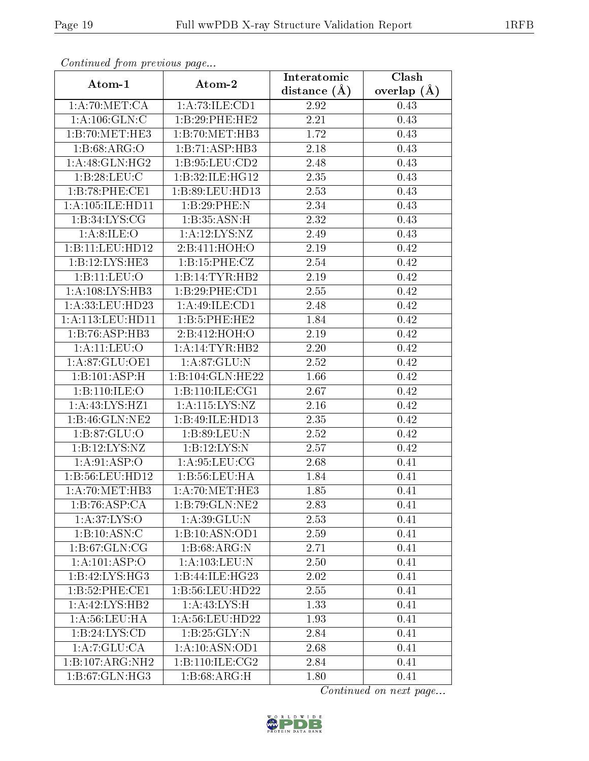| Communica from precious page |                     | Interatomic       | Clash           |  |
|------------------------------|---------------------|-------------------|-----------------|--|
| Atom-1                       | Atom-2              | distance $(\AA)$  | overlap $(\AA)$ |  |
| 1:A:70:MET:CA                | 1: A:73: ILE: CD1   | 2.92              | 0.43            |  |
| 1: A: 106: GLN: C            | 1:B:29:PHE:HE2      | $\overline{2.21}$ | 0.43            |  |
| 1:B:70:MET:HE3               | 1:B:70:MET:HB3      | 1.72              | 0.43            |  |
| 1: B:68: ARG:O               | 1:B:71:ASP:HB3      | 2.18              | 0.43            |  |
| $1:A:\overline{48:GLN:HG2}$  | 1:B:95:LEU:CD2      | 2.48              | 0.43            |  |
| 1:B:28:LEU:C                 | 1:B:32:ILE:HG12     | 2.35              | 0.43            |  |
| 1:B:78:PHE:CE1               | 1: B:89: LEU: HD13  | 2.53              | 0.43            |  |
| 1:A:105:ILE:HD11             | 1:B:29:PHE:N        | 2.34              | 0.43            |  |
| 1: B:34: LYS: CG             | 1:B:35:ASN:H        | 2.32              | 0.43            |  |
| 1: A:8: ILE:O                | 1:A:12:LYS:NZ       | 2.49              | 0.43            |  |
| 1:B:11:LEU:HD12              | 2:B:411:HOH:O       | 2.19              | 0.42            |  |
| 1:B:12:LYS:HE3               | 1: B:15: PHE: CZ    | 2.54              | 0.42            |  |
| 1:B:11:LEV:O                 | 1:B:14:TYR:HB2      | 2.19              | 0.42            |  |
| 1:A:108:LYS:HB3              | 1:B:29:PHE:CD1      | 2.55              | 0.42            |  |
| 1:A:33:LEU:HD23              | 1:A:49:ILE:CD1      | 2.48              | 0.42            |  |
| 1: A: 113: LEU: HD11         | 1:B:5:PHE:HE2       | 1.84              | 0.42            |  |
| 1:B:76:ASP:HB3               | 2:B:412:HOH:O       | 2.19              | 0.42            |  |
| 1: A:11:LEV:O                | 1:A:14:TYR:HB2      | 2.20              | 0.42            |  |
| 1:A:87:GLU:OE1               | 1:A:87:GLU:N        | 2.52              | 0.42            |  |
| 1:B:101:ASP:H                | 1:B:104:GLN:HE22    | 1.66              | 0.42            |  |
| 1:B:110:ILE:O                | 1: B: 110: ILE: CG1 | 2.67              | 0.42            |  |
| 1: A: 43: LYS: HZ1           | 1:A:115:LYS:NZ      | 2.16              | 0.42            |  |
| 1:B:46:GLN:NE2               | 1:B:49:ILE:HD13     | 2.35              | 0.42            |  |
| 1:B:87:GLU:O                 | 1: B:89: LEU: N     | 2.52              | 0.42            |  |
| 1:B:12:LYS:NZ                | 1:B:12:LYS:N        | 2.57              | 0.42            |  |
| 1:A:91:ASP:O                 | 1: A:95: LEU: CG    | 2.68              | 0.41            |  |
| 1:B:56:LEU:HD12              | 1:B:56:LEU:HA       | 1.84              | 0.41            |  |
| 1: A:70:MET:HB3              | 1: A:70:MET:HE3     | 1.85              | 0.41            |  |
| 1:B:76:ASP:CA                | 1:B:79:GLN:NE2      | 2.83              | 0.41            |  |
| 1:A:37:LYS:O                 | 1:A:39:GLU:N        | 2.53              | 0.41            |  |
| 1:B:10:ASN:C                 | 1:B:10:ASN:OD1      | 2.59              | 0.41            |  |
| 1:B:67:GLN:CG                | 1:B:68:ARG:N        | 2.71              | 0.41            |  |
| 1:A:101:ASP:O                | 1: A: 103: LEU: N   | 2.50              | 0.41            |  |
| 1:B:42:LYS:HG3               | 1:B:44:ILE:HG23     | 2.02              | 0.41            |  |
| 1:B:52:PHE:CE1               | 1:B:56:LEU:HD22     | 2.55              | 0.41            |  |
| 1:A:42:LYS:HB2               | 1: A:43:LYS:H       | 1.33              | 0.41            |  |
| 1: A:56:LEU:HA               | 1:A:56:LEU:HD22     | 1.93              | 0.41            |  |
| 1:B:24:LYS:CD                | 1: B:25: GLY:N      | 2.84              | 0.41            |  |
| 1:A:7:GLU:CA                 | 1: A:10: ASN:OD1    | 2.68              | 0.41            |  |
| 1:B:107:ARG:NH2              | 1:B:110:ILE: CG2    | 2.84              | 0.41            |  |
| 1: B:67: GLN: HG3            | 1: B:68:ARG:H       | 1.80              | 0.41            |  |

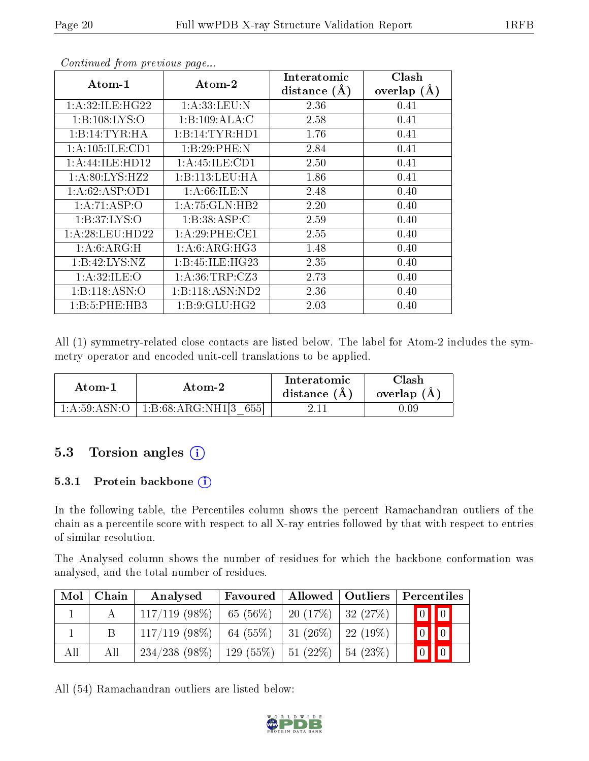| Atom-1              | Atom-2              | Interatomic      | Clash         |
|---------------------|---------------------|------------------|---------------|
|                     |                     | distance $(\AA)$ | overlap $(A)$ |
| 1: A:32: ILE: HG22  | 1: A: 33: LEU: N    | 2.36             | 0.41          |
| 1: B: 108: LYS: O   | 1:B:109:ALA:C       | 2.58             | 0.41          |
| 1:B:14:TYR:H        | 1:B:14:TYR:HD1      | 1.76             | 0.41          |
| 1: A: 105: ILE: CD1 | 1:B:29:PHE:N        | 2.84             | 0.41          |
| 1:A:44:ILE:HD12     | 1: A: 45: ILE: CD1  | 2.50             | 0.41          |
| 1: A:80: LYS: HZ2   | 1:B:113:LEU:HA      | 1.86             | 0.41          |
| 1: A:62: ASP:OD1    | 1: A:66: ILE:N      | 2.48             | 0.40          |
| 1:A:71:ASP:O        | 1: A:75: GLN:HB2    | 2.20             | 0.40          |
| 1: B: 37: LYS: O    | 1:B:38:ASP:C        | 2.59             | 0.40          |
| 1: A:28: LEU:HD22   | 1: A:29:PHE:CE1     | 2.55             | 0.40          |
| 1: A:6: ARG:H       | 1: A:6: ARG: HG3    | 1.48             | 0.40          |
| 1:B:42:LYS:NZ       | 1: B: 45: ILE: HG23 | 2.35             | 0.40          |
| 1:A:32:ILE:O        | 1: A:36:TRP: CZ3    | 2.73             | 0.40          |
| 1:B:118:ASN:O       | 1:B:118:ASN:ND2     | 2.36             | 0.40          |
| 1:B:5:PHE:HB3       | 1: B: 9: GLU: HG2   | 2.03             | 0.40          |

All (1) symmetry-related close contacts are listed below. The label for Atom-2 includes the symmetry operator and encoded unit-cell translations to be applied.

| Atom-1         | Atom-2                     | Interatomic<br>distance $(A)$ | $\cap$ lash<br>overlap $(A)$ |
|----------------|----------------------------|-------------------------------|------------------------------|
| 1: A:59: ASN:O | 1:B:68:ARG:NH1[3  <br>6551 |                               | .09                          |

### 5.3 Torsion angles  $(i)$

#### 5.3.1 Protein backbone  $(i)$

In the following table, the Percentiles column shows the percent Ramachandran outliers of the chain as a percentile score with respect to all X-ray entries followed by that with respect to entries of similar resolution.

The Analysed column shows the number of residues for which the backbone conformation was analysed, and the total number of residues.

| Mol | Chain | Analysed                                             | Favoured             | Allowed   Outliers        |                | Percentiles             |  |
|-----|-------|------------------------------------------------------|----------------------|---------------------------|----------------|-------------------------|--|
|     |       | $117/119$ (98\%)                                     | $65(56\%)$           | 20 $(17\%)$   32 $(27\%)$ |                | $\boxed{0}$ $\boxed{0}$ |  |
|     |       | $117/119$ (98\%)   64 (55\%)   31 (26\%)   22 (19\%) |                      |                           |                | $\boxed{0}$ $\boxed{0}$ |  |
| All | All   | $234/238(98\%)$                                      | 129 (55%)   51 (22%) |                           | $ 54 \ (23\%)$ |                         |  |

All (54) Ramachandran outliers are listed below:

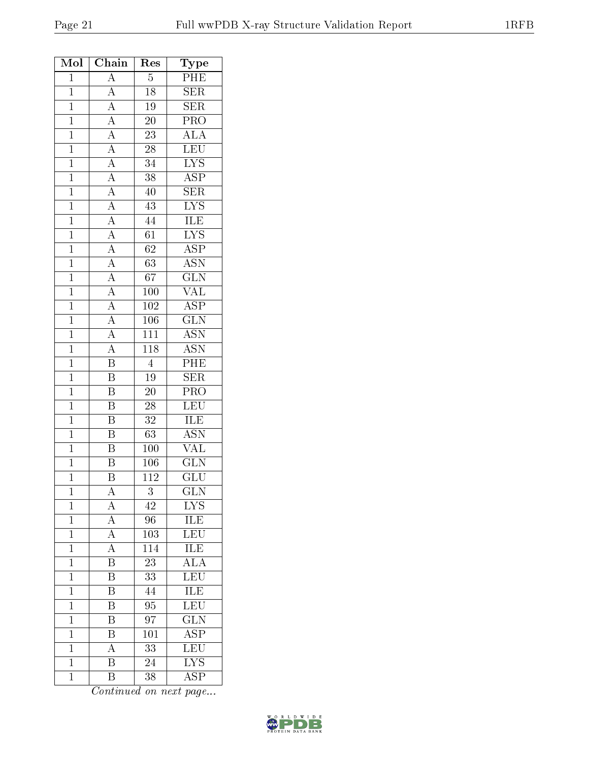| Mol            | Chain                                                                                                                                                                               | Res              | Type                                       |
|----------------|-------------------------------------------------------------------------------------------------------------------------------------------------------------------------------------|------------------|--------------------------------------------|
| $\overline{1}$ | $\overline{A}$                                                                                                                                                                      | $\overline{5}$   | $\overline{\text{PHE}}$                    |
| $\mathbf{1}$   | $\overline{A}$                                                                                                                                                                      | 18               | $\overline{\text{SER}}$                    |
| $\overline{1}$ |                                                                                                                                                                                     | 19               | SER                                        |
| $\overline{1}$ |                                                                                                                                                                                     | $\overline{20}$  | PRO                                        |
| $\mathbf{1}$   |                                                                                                                                                                                     | $\overline{23}$  | $\overline{\text{ALA}}$                    |
| $\overline{1}$ |                                                                                                                                                                                     | $\overline{28}$  | $\frac{\overline{\text{LEU}}}{\text{LYS}}$ |
| $\overline{1}$ | $\frac{\overline{A}}{\overline{A}}$ $\frac{\overline{A}}{\overline{A}}$ $\frac{\overline{A}}{\overline{A}}$ $\frac{\overline{A}}{\overline{A}}$ $\frac{\overline{A}}{\overline{A}}$ | $\overline{34}$  |                                            |
| $\overline{1}$ |                                                                                                                                                                                     | $\overline{38}$  | $\overline{\text{ASP}}$                    |
| $\overline{1}$ |                                                                                                                                                                                     | $\overline{40}$  | $\overline{\text{SER}}$                    |
| $\overline{1}$ |                                                                                                                                                                                     | 43               | $\overline{\text{LYS}}$                    |
| $\overline{1}$ |                                                                                                                                                                                     | $\overline{44}$  | $\overline{\text{ILE}}$                    |
| $\overline{1}$ |                                                                                                                                                                                     | $\overline{61}$  | $\overline{\text{LYS}}$                    |
| $\overline{1}$ |                                                                                                                                                                                     | $\overline{62}$  | $\overline{\text{ASP}}$                    |
| $\overline{1}$ |                                                                                                                                                                                     | $\overline{63}$  | <b>ASN</b>                                 |
| $\mathbf{1}$   | $\frac{\overline{A}}{\overline{A}}$ $\frac{\overline{A}}{\overline{A}}$ $\frac{\overline{A}}{\overline{A}}$ $\frac{\overline{A}}{\overline{A}}$                                     | 67               | $\overline{\text{GLN}}$                    |
| $\overline{1}$ |                                                                                                                                                                                     | <b>100</b>       | <b>VAL</b>                                 |
| $\mathbf{1}$   |                                                                                                                                                                                     | $102\,$          | $\overline{\text{ASP}}$                    |
| $\overline{1}$ |                                                                                                                                                                                     | $\overline{106}$ | $\overline{\text{GLN}}$                    |
| $\overline{1}$ |                                                                                                                                                                                     | 111              | $\overline{\text{ASN}}$                    |
| $\mathbf{1}$   |                                                                                                                                                                                     | 118              | <b>ASN</b>                                 |
| $\overline{1}$ | $\frac{\overline{A}}{B}$                                                                                                                                                            | $\overline{4}$   | $\overline{\rm{PHE}}$                      |
| $\overline{1}$ | $\overline{B}$                                                                                                                                                                      | 19               | $\overline{\text{SER}}$                    |
| $\overline{1}$ | $\overline{B}$                                                                                                                                                                      | $\overline{20}$  | $\overline{\text{PRO}}$                    |
| $\mathbf{1}$   | $\overline{\mathrm{B}}$                                                                                                                                                             | 28               | <b>LEU</b>                                 |
| $\mathbf{1}$   | $\overline{\mathrm{B}}$                                                                                                                                                             | $3\sqrt{2}$      | <b>ILE</b>                                 |
| $\overline{1}$ | $\overline{\mathbf{B}}$                                                                                                                                                             | 63               | <b>ASN</b>                                 |
| $\overline{1}$ | $\overline{\mathrm{B}}$                                                                                                                                                             | 100              | <b>VAL</b>                                 |
| $\overline{1}$ | $\overline{\mathrm{B}}$                                                                                                                                                             | $\overline{106}$ | $\overline{\text{GLN}}$                    |
| $\mathbf{1}$   | B                                                                                                                                                                                   | 112              | GLU                                        |
| $\mathbf 1$    | $\bm{A}$                                                                                                                                                                            | 3                | GLN                                        |
| $\mathbf 1$    | $\boldsymbol{A}$                                                                                                                                                                    | 42               | <b>LYS</b>                                 |
| $\mathbf 1$    | $\overline{A}$                                                                                                                                                                      | 96               | <b>ILE</b>                                 |
| $\mathbf{1}$   | $\overline{\rm A}$                                                                                                                                                                  | 103              | LEU                                        |
| $\mathbf{1}$   | $\boldsymbol{A}$                                                                                                                                                                    | 114              | ILE                                        |
| $\overline{1}$ | $\overline{\mathrm{B}}$                                                                                                                                                             | $\overline{23}$  | $\overline{\rm ALA}$                       |
| $\mathbf{1}$   | B                                                                                                                                                                                   | 33               | LEU                                        |
| $\mathbf{1}$   | $\overline{\mathrm{B}}$                                                                                                                                                             | 44               | $\overline{\text{ILE}}$                    |
| $\mathbf 1$    | $\overline{\mathrm{B}}$                                                                                                                                                             | $\overline{95}$  | $\overline{\text{LEU}}$                    |
| $\mathbf 1$    | B                                                                                                                                                                                   | 97               | $\overline{\text{GLN}}$                    |
| $\mathbf 1$    | Β                                                                                                                                                                                   | 101              | $\overline{\text{ASP}}$                    |
| $\mathbf 1$    | $\overline{A}$                                                                                                                                                                      | $\overline{33}$  | LEU                                        |
| $\mathbf 1$    | $\overline{\mathrm{B}}$                                                                                                                                                             | $\overline{24}$  | $\overline{\text{LYS}}$                    |
|                |                                                                                                                                                                                     |                  |                                            |

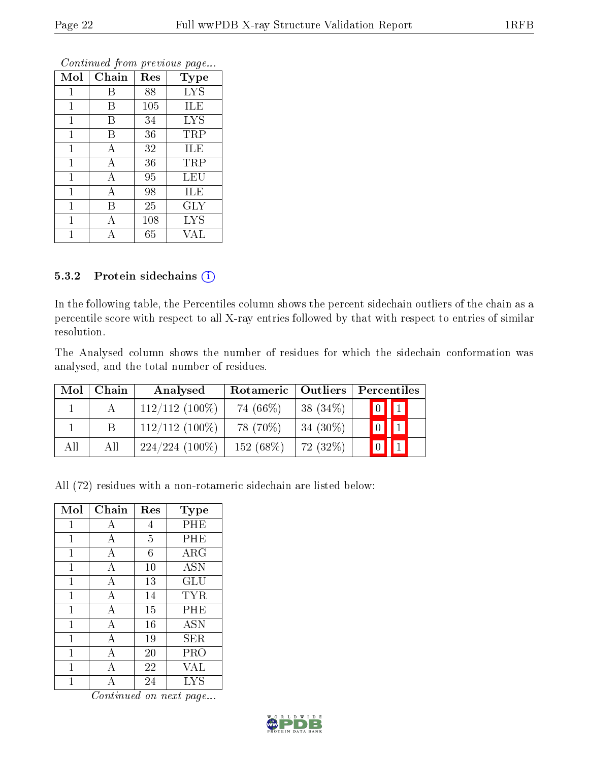| Mol          | Chain | Res | Type       |
|--------------|-------|-----|------------|
| 1            | В     | 88  | <b>LYS</b> |
| 1            | В     | 105 | ILE        |
| 1            | B     | 34  | <b>LYS</b> |
| $\mathbf{1}$ | В     | 36  | TRP        |
| $\mathbf{1}$ | А     | 32  | ILE        |
| $\mathbf{1}$ | А     | 36  | TRP        |
| $\mathbf{1}$ | А     | 95  | LEU        |
| $\mathbf{1}$ | А     | 98  | ILE        |
| $\mathbf{1}$ | В     | 25  | $\rm GLY$  |
| 1            | А     | 108 | <b>LYS</b> |
|              |       | 65  | VAL        |

#### 5.3.2 Protein sidechains (i)

In the following table, the Percentiles column shows the percent sidechain outliers of the chain as a percentile score with respect to all X-ray entries followed by that with respect to entries of similar resolution.

The Analysed column shows the number of residues for which the sidechain conformation was analysed, and the total number of residues.

| Mol | Chain | Analysed         | Rotameric   Outliers |             |             | Percentiles |  |
|-----|-------|------------------|----------------------|-------------|-------------|-------------|--|
|     |       | $112/112(100\%)$ | 74 (66\%)            | 38 $(34\%)$ | $\boxed{0}$ | $\boxed{1}$ |  |
|     |       | $112/112(100\%)$ | 78 (70\%)            | $34(30\%)$  |             |             |  |
| All | All   | $224/224(100\%)$ | $152(68\%)$          | 72 (32%)    |             |             |  |

All (72) residues with a non-rotameric sidechain are listed below:

| Mol | Chain                     | Res            | Type              |
|-----|---------------------------|----------------|-------------------|
| 1   | А                         | 4              | PHE               |
| 1   | А                         | $\overline{5}$ | PHE               |
| 1   | А                         | 6              | ARG               |
| 1   | $\boldsymbol{\mathrm{A}}$ | 10             | ĀSN               |
| 1   | $\overline{A}$            | 13             | GLU               |
| 1   | А                         | 14             | TYR               |
| 1   | А                         | 15             | PHE               |
| 1   | А                         | 16             | <b>ASN</b>        |
| 1   | А                         | 19             | SER               |
| 1   | А                         | 20             | PRO               |
| 1   | А                         | 22             | VAL               |
|     |                           | 24             | $_{\mathrm{LYS}}$ |

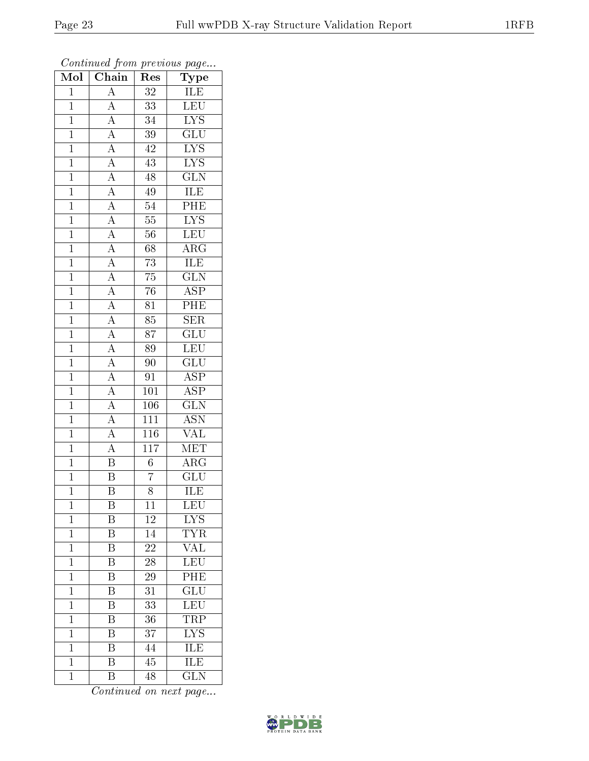| $\overline{\text{Mol}}$ | $\overline{\text{Chain}}$                                                                                                                                                                                                                                                                                                                                                                                      | $\mathbf{r}$<br>Res | $\mathbf{r}$ - $\mathbf{v}$<br>$\overline{\mathrm{T}}\mathrm{ype}$ |
|-------------------------|----------------------------------------------------------------------------------------------------------------------------------------------------------------------------------------------------------------------------------------------------------------------------------------------------------------------------------------------------------------------------------------------------------------|---------------------|--------------------------------------------------------------------|
| $\mathbf{1}$            | $\overline{A}$                                                                                                                                                                                                                                                                                                                                                                                                 | 32                  | $\overline{\text{ILE}}$                                            |
| $\mathbf{1}$            |                                                                                                                                                                                                                                                                                                                                                                                                                | $\overline{33}$     | LEU                                                                |
| $\overline{1}$          |                                                                                                                                                                                                                                                                                                                                                                                                                | $\overline{34}$     | $\overline{\text{LYS}}$                                            |
| $\overline{1}$          |                                                                                                                                                                                                                                                                                                                                                                                                                | $\overline{39}$     | $\overline{\text{GLU}}$                                            |
| $\overline{1}$          |                                                                                                                                                                                                                                                                                                                                                                                                                | $\overline{42}$     | $\frac{\overline{\text{LYS}}}{\text{LYS}}$                         |
| $\overline{1}$          |                                                                                                                                                                                                                                                                                                                                                                                                                | 43                  |                                                                    |
| $\overline{1}$          |                                                                                                                                                                                                                                                                                                                                                                                                                | 48                  | $\overline{\text{GLN}}$                                            |
| $\overline{1}$          |                                                                                                                                                                                                                                                                                                                                                                                                                | 49                  | ILE                                                                |
| $\overline{1}$          |                                                                                                                                                                                                                                                                                                                                                                                                                | 54                  | PHE                                                                |
| $\overline{1}$          |                                                                                                                                                                                                                                                                                                                                                                                                                | $\overline{55}$     | $\overline{\text{LYS}}$                                            |
| $\mathbf{1}$            |                                                                                                                                                                                                                                                                                                                                                                                                                | 56                  | LEU                                                                |
| $\overline{1}$          |                                                                                                                                                                                                                                                                                                                                                                                                                | $\overline{68}$     | $\overline{\rm ARG}$                                               |
| $\overline{1}$          |                                                                                                                                                                                                                                                                                                                                                                                                                | $\overline{73}$     | $\overline{\text{ILE}}$                                            |
| $\overline{1}$          | $\frac{\overline{A}}{\overline{A}}\frac{\overline{A}}{\overline{A}}\frac{\overline{A}}{\overline{A}}\frac{\overline{A}}{\overline{A}}\frac{\overline{A}}{\overline{A}}\frac{\overline{A}}{\overline{A}}\frac{\overline{A}}{\overline{A}}\frac{\overline{A}}{\overline{A}}\frac{\overline{A}}{\overline{A}}\frac{\overline{A}}{\overline{A}}\frac{\overline{A}}{\overline{A}}\frac{\overline{A}}{\overline{A}}$ | $\overline{75}$     | $\overline{\text{GLN}}$                                            |
| $\overline{1}$          |                                                                                                                                                                                                                                                                                                                                                                                                                | $\overline{76}$     | $\overline{\text{ASP}}$                                            |
| $\mathbf{1}$            |                                                                                                                                                                                                                                                                                                                                                                                                                | 81                  | $\overline{\text{PHE}}$                                            |
| $\overline{1}$          |                                                                                                                                                                                                                                                                                                                                                                                                                | $\overline{85}$     | $\overline{\text{SER}}$                                            |
| $\overline{1}$          |                                                                                                                                                                                                                                                                                                                                                                                                                | 87                  | $\overline{\text{GLU}}$                                            |
| $\overline{1}$          |                                                                                                                                                                                                                                                                                                                                                                                                                | 89                  | LEU                                                                |
| $\overline{1}$          |                                                                                                                                                                                                                                                                                                                                                                                                                | $90\,$              | $\underline{\overline{\text{GLU}}}$                                |
| $\mathbf{1}$            |                                                                                                                                                                                                                                                                                                                                                                                                                | $\overline{91}$     | $\overline{\text{ASP}}$                                            |
| $\overline{1}$          |                                                                                                                                                                                                                                                                                                                                                                                                                | $\overline{101}$    | $\overline{\text{ASP}}$                                            |
| $\mathbf{1}$            |                                                                                                                                                                                                                                                                                                                                                                                                                | $\overline{106}$    | $\overline{\text{GLN}}$                                            |
| $\overline{1}$          |                                                                                                                                                                                                                                                                                                                                                                                                                | $\overline{111}$    | $\overline{\mathrm{ASN}}$                                          |
| $\overline{1}$          | $\frac{\overline{A}}{\overline{A}}$                                                                                                                                                                                                                                                                                                                                                                            | $\overline{116}$    | <b>VAL</b>                                                         |
| $\overline{1}$          |                                                                                                                                                                                                                                                                                                                                                                                                                | $\overline{117}$    | MET                                                                |
| $\overline{1}$          | $\overline{\mathbf{B}}$                                                                                                                                                                                                                                                                                                                                                                                        | $\overline{6}$      | $\overline{\rm{ARG}}$                                              |
| $\overline{1}$          | $\overline{\mathbf{B}}$                                                                                                                                                                                                                                                                                                                                                                                        | $\overline{7}$      | $\overline{\text{GLU}}$                                            |
| $\overline{1}$          | $\overline{\mathrm{B}}$                                                                                                                                                                                                                                                                                                                                                                                        | $\overline{8}$      | $\overline{\text{ILE}}$                                            |
| 1                       | Β                                                                                                                                                                                                                                                                                                                                                                                                              | 11                  | LEU                                                                |
| $\mathbf{1}$            | B                                                                                                                                                                                                                                                                                                                                                                                                              | 12                  | ${\rm LYS}$                                                        |
| $\overline{1}$          | $\overline{\mathrm{B}}$                                                                                                                                                                                                                                                                                                                                                                                        | 14                  | <b>TYR</b>                                                         |
| $\mathbf{1}$            | B                                                                                                                                                                                                                                                                                                                                                                                                              | 22                  | VAL                                                                |
| $\overline{1}$          | $\overline{\mathrm{B}}$                                                                                                                                                                                                                                                                                                                                                                                        | $\overline{28}$     | <b>LEU</b>                                                         |
| $\mathbf 1$             | Β                                                                                                                                                                                                                                                                                                                                                                                                              | 29                  | PHE                                                                |
| $\mathbf 1$             | $\overline{\mathrm{B}}$                                                                                                                                                                                                                                                                                                                                                                                        | $\overline{3}1$     | $\overline{{\rm GLU}}$                                             |
| $\mathbf 1$             | Β                                                                                                                                                                                                                                                                                                                                                                                                              | 33                  | LEU                                                                |
| $\overline{1}$          | B                                                                                                                                                                                                                                                                                                                                                                                                              | 36                  | <b>TRP</b>                                                         |
| $\mathbf{1}$            | Β                                                                                                                                                                                                                                                                                                                                                                                                              | 37                  | $\underline{IYS}$                                                  |
| $\mathbf{1}$            | $\overline{\mathrm{B}}$                                                                                                                                                                                                                                                                                                                                                                                        | 44                  | <b>ILE</b>                                                         |
| $\mathbf 1$             | B                                                                                                                                                                                                                                                                                                                                                                                                              | 45                  | <b>ILE</b>                                                         |
| $\mathbf{1}$            | $\overline{\mathrm{B}}$                                                                                                                                                                                                                                                                                                                                                                                        | 48                  | $\overline{\text{GLN}}$                                            |

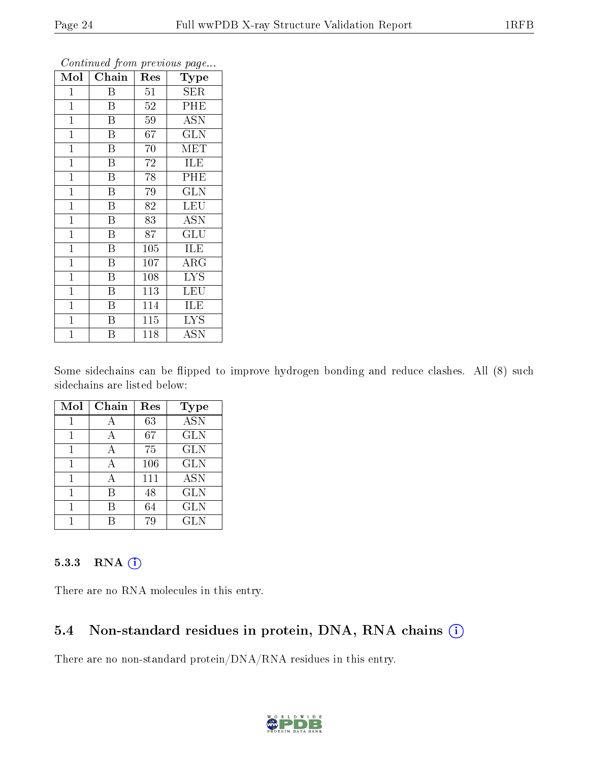| Mol            | Chain                   | Res             | <b>Type</b>               |
|----------------|-------------------------|-----------------|---------------------------|
| 1              | Β                       | 51              | SER                       |
| $\mathbf{1}$   | B                       | $52\,$          | PHE                       |
| $\mathbf 1$    | B                       | 59              | <b>ASN</b>                |
| $\mathbf{1}$   | B                       | 67              | <b>GLN</b>                |
| $\overline{1}$ | $\overline{\mathrm{B}}$ | 70              | MET                       |
| $\mathbf{1}$   | $\, {\bf B}$            | 72              | ILE                       |
| $\mathbf{1}$   | $\overline{\mathrm{B}}$ | 78              | PHE                       |
| $\overline{1}$ | $\overline{\mathrm{B}}$ | 79              | <b>GLN</b>                |
| $\overline{1}$ | $\overline{\mathrm{B}}$ | 82              | <b>LEU</b>                |
| $\mathbf{1}$   | $\overline{\mathrm{B}}$ | $\overline{83}$ | $\overline{\mathrm{ASN}}$ |
| $\mathbf{1}$   | Β                       | 87              | GLU                       |
| $\mathbf{1}$   | B                       | 105             | <b>ILE</b>                |
| $\mathbf{1}$   | $\overline{B}$          | 107             | $\rm{ARG}$                |
| $\mathbf 1$    | B                       | 108             | <b>LYS</b>                |
| $\mathbf 1$    | $\overline{\mathrm{B}}$ | 113             | <b>LEU</b>                |
| $\mathbf 1$    | $\boldsymbol{B}$        | 114             | ILE                       |
| $\mathbf 1$    | B                       | $\bar{1}15$     | <b>LYS</b>                |
| $\mathbf 1$    | Β                       | 118             | <b>ASN</b>                |

Some sidechains can be flipped to improve hydrogen bonding and reduce clashes. All (8) such sidechains are listed below:

| Mol | Chain | Res | Type             |
|-----|-------|-----|------------------|
|     |       | 63  | $\overline{ASN}$ |
|     | А     | 67  | <b>GLN</b>       |
| 1   | A     | 75  | <b>GLN</b>       |
|     | А     | 106 | <b>GLN</b>       |
|     |       | 111 | <b>ASN</b>       |
|     | В     | 48  | <b>GLN</b>       |
|     | В     | 64  | <b>GLN</b>       |
|     |       |     | <b>GLN</b>       |

#### 5.3.3 RNA (1)

There are no RNA molecules in this entry.

### 5.4 Non-standard residues in protein, DNA, RNA chains (i)

There are no non-standard protein/DNA/RNA residues in this entry.

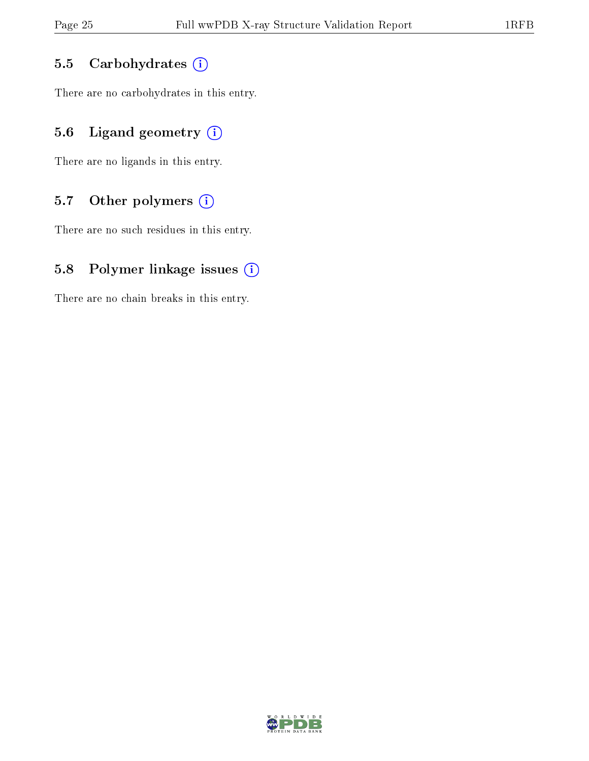#### 5.5 Carbohydrates  $(i)$

There are no carbohydrates in this entry.

### 5.6 Ligand geometry  $(i)$

There are no ligands in this entry.

#### 5.7 [O](https://www.wwpdb.org/validation/2017/XrayValidationReportHelp#nonstandard_residues_and_ligands)ther polymers  $(i)$

There are no such residues in this entry.

#### 5.8 Polymer linkage issues  $(i)$

There are no chain breaks in this entry.